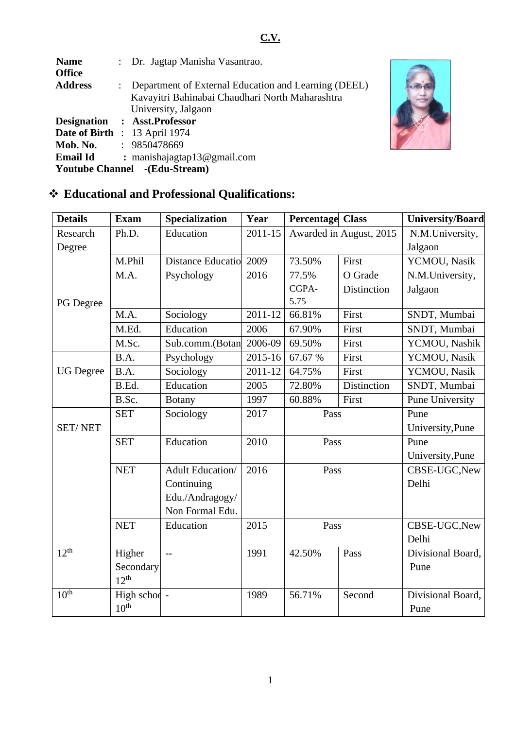| <b>Name</b>                          |  | : Dr. Jagtap Manisha Vasantrao.                      |  |  |  |  |
|--------------------------------------|--|------------------------------------------------------|--|--|--|--|
| <b>Office</b>                        |  |                                                      |  |  |  |  |
| <b>Address</b>                       |  | Department of External Education and Learning (DEEL) |  |  |  |  |
|                                      |  | Kavayitri Bahinabai Chaudhari North Maharashtra      |  |  |  |  |
|                                      |  | University, Jalgaon                                  |  |  |  |  |
|                                      |  | Designation : Asst. Professor                        |  |  |  |  |
|                                      |  | <b>Date of Birth : 13 April 1974</b>                 |  |  |  |  |
| Mob. No.                             |  | : 9850478669                                         |  |  |  |  |
| <b>Email Id</b>                      |  | : manishajagtap13@gmail.com                          |  |  |  |  |
| <b>Youtube Channel</b> -(Edu-Stream) |  |                                                      |  |  |  |  |



# ❖ **Educational and Professional Qualifications:**

| <b>Details</b>   | <b>Exam</b>      | <b>Specialization</b>   | Year    | <b>Percentage Class</b> |                         | University/Board  |
|------------------|------------------|-------------------------|---------|-------------------------|-------------------------|-------------------|
| Research         | Ph.D.            | Education               | 2011-15 |                         | Awarded in August, 2015 | N.M.University,   |
| Degree           |                  |                         |         |                         |                         | Jalgaon           |
|                  | M.Phil           | Distance Educatio       | 2009    | 73.50%                  | First                   | YCMOU, Nasik      |
|                  | M.A.             | Psychology              | 2016    | 77.5%                   | O Grade                 | N.M.University,   |
|                  |                  |                         |         | CGPA-                   | Distinction             | Jalgaon           |
| PG Degree        |                  |                         |         | 5.75                    |                         |                   |
|                  | M.A.             | Sociology               | 2011-12 | 66.81%                  | First                   | SNDT, Mumbai      |
|                  | M.Ed.            | Education               | 2006    | 67.90%                  | First                   | SNDT, Mumbai      |
|                  | M.Sc.            | Sub.comm.(Botan         | 2006-09 | 69.50%                  | First                   | YCMOU, Nashik     |
|                  | B.A.             | Psychology              | 2015-16 | 67.67 %                 | First                   | YCMOU, Nasik      |
| <b>UG</b> Degree | B.A.             | Sociology               | 2011-12 | 64.75%                  | First                   | YCMOU, Nasik      |
|                  | B.Ed.            | Education               | 2005    | 72.80%                  | Distinction             | SNDT, Mumbai      |
|                  | B.Sc.            | <b>Botany</b>           | 1997    | 60.88%                  | First                   | Pune University   |
|                  | <b>SET</b>       | Sociology               | 2017    | Pass                    |                         | Pune              |
| <b>SET/NET</b>   |                  |                         |         |                         |                         | University, Pune  |
|                  | <b>SET</b>       | Education               | 2010    | Pass                    |                         | Pune              |
|                  |                  |                         |         |                         |                         | University, Pune  |
|                  | <b>NET</b>       | <b>Adult Education/</b> | 2016    | Pass                    |                         | CBSE-UGC, New     |
|                  |                  | Continuing              |         |                         |                         | Delhi             |
|                  |                  | Edu./Andragogy/         |         |                         |                         |                   |
|                  |                  | Non Formal Edu.         |         |                         |                         |                   |
|                  | <b>NET</b>       | Education               | 2015    | Pass                    |                         | CBSE-UGC, New     |
|                  |                  |                         |         |                         |                         | Delhi             |
| 12 <sup>th</sup> | Higher           | $-$                     | 1991    | 42.50%                  | Pass                    | Divisional Board, |
|                  | Secondary        |                         |         |                         |                         | Pune              |
|                  | $12^{th}$        |                         |         |                         |                         |                   |
| $10^{th}$        | High schod -     |                         | 1989    | 56.71%                  | Second                  | Divisional Board, |
|                  | 10 <sup>th</sup> |                         |         |                         |                         | Pune              |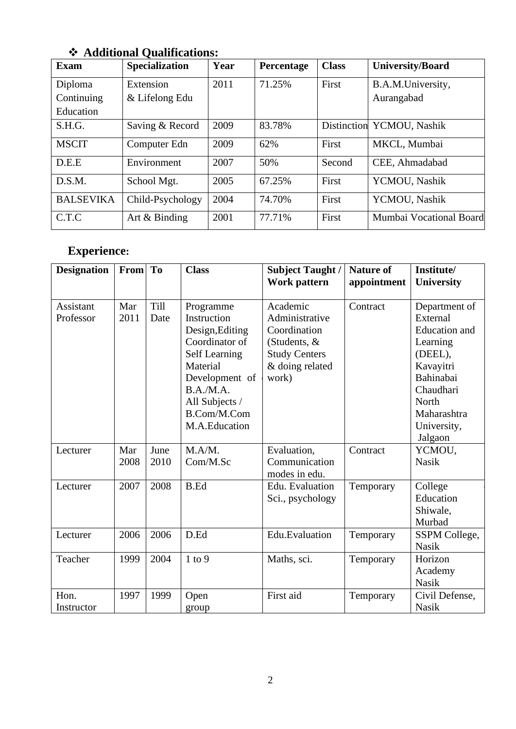| <b>Exam</b>                        | $11444101442$ $\sqrt{4441110440110}$<br><b>Specialization</b> | Year | Percentage | <b>Class</b> | <b>University/Board</b>         |
|------------------------------------|---------------------------------------------------------------|------|------------|--------------|---------------------------------|
| Diploma<br>Continuing<br>Education | Extension<br>& Lifelong Edu                                   | 2011 | 71.25%     | First        | B.A.M.University,<br>Aurangabad |
| S.H.G.                             | Saving & Record                                               | 2009 | 83.78%     |              | Distinction YCMOU, Nashik       |
| <b>MSCIT</b>                       | Computer Edn                                                  | 2009 | 62%        | First        | MKCL, Mumbai                    |
| D.E.E                              | Environment                                                   | 2007 | 50%        | Second       | CEE, Ahmadabad                  |
| D.S.M.                             | School Mgt.                                                   | 2005 | 67.25%     | First        | YCMOU, Nashik                   |
| <b>BALSEVIKA</b>                   | Child-Psychology                                              | 2004 | 74.70%     | First        | YCMOU, Nashik                   |
| C.T.C                              | Art $&$ Binding                                               | 2001 | 77.71%     | First        | Mumbai Vocational Board         |

## ❖ **Additional Qualifications:**

# **Experience:**

| <b>Designation</b>     | From        | <b>To</b>    | <b>Class</b>                                                                                                                                                                      | <b>Subject Taught /</b><br>Work pattern                                                                        | <b>Nature of</b><br>appointment | Institute/<br><b>University</b>                                                                                                                                   |
|------------------------|-------------|--------------|-----------------------------------------------------------------------------------------------------------------------------------------------------------------------------------|----------------------------------------------------------------------------------------------------------------|---------------------------------|-------------------------------------------------------------------------------------------------------------------------------------------------------------------|
| Assistant<br>Professor | Mar<br>2011 | Till<br>Date | Programme<br>Instruction<br>Design, Editing<br>Coordinator of<br><b>Self Learning</b><br>Material<br>Development of<br>B.A.M.A.<br>All Subjects /<br>B.Com/M.Com<br>M.A.Education | Academic<br>Administrative<br>Coordination<br>(Students, &<br><b>Study Centers</b><br>& doing related<br>work) | Contract                        | Department of<br>External<br><b>Education</b> and<br>Learning<br>(DEEL),<br>Kavayitri<br>Bahinabai<br>Chaudhari<br>North<br>Maharashtra<br>University,<br>Jalgaon |
| Lecturer               | Mar<br>2008 | June<br>2010 | M.A/M.<br>Com/M.Sc                                                                                                                                                                | Evaluation,<br>Communication<br>modes in edu.                                                                  | Contract                        | YCMOU,<br><b>Nasik</b>                                                                                                                                            |
| Lecturer               | 2007        | 2008         | <b>B.Ed</b>                                                                                                                                                                       | Edu. Evaluation<br>Sci., psychology                                                                            | Temporary                       | College<br>Education<br>Shiwale,<br>Murbad                                                                                                                        |
| Lecturer               | 2006        | 2006         | D.Ed                                                                                                                                                                              | Edu.Evaluation                                                                                                 | Temporary                       | SSPM College,<br><b>Nasik</b>                                                                                                                                     |
| Teacher                | 1999        | 2004         | $1$ to $9$                                                                                                                                                                        | Maths, sci.                                                                                                    | Temporary                       | Horizon<br>Academy<br><b>Nasik</b>                                                                                                                                |
| Hon.<br>Instructor     | 1997        | 1999         | Open<br>group                                                                                                                                                                     | First aid                                                                                                      | Temporary                       | Civil Defense,<br><b>Nasik</b>                                                                                                                                    |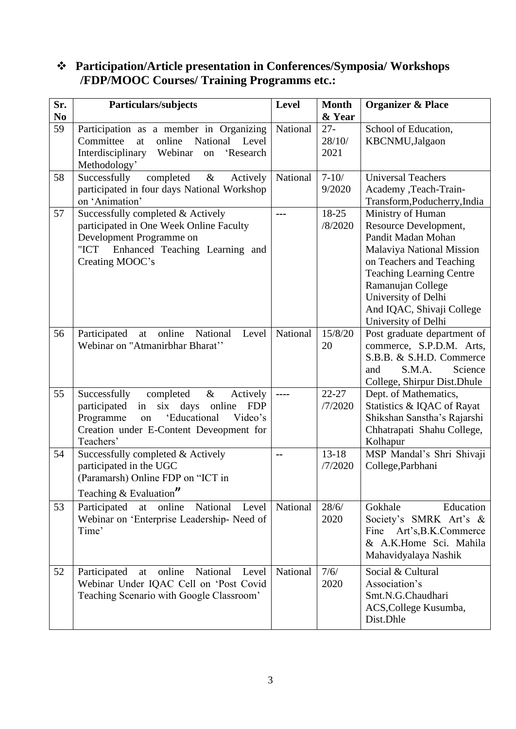## ❖ **Participation/Article presentation in Conferences/Symposia/ Workshops /FDP/MOOC Courses/ Training Programms etc.:**

| Sr.                  | Particulars/subjects                                                                                                                                                                                                          | <b>Level</b> | <b>Month</b>               | <b>Organizer &amp; Place</b>                                                                                                                                                                                                                                 |
|----------------------|-------------------------------------------------------------------------------------------------------------------------------------------------------------------------------------------------------------------------------|--------------|----------------------------|--------------------------------------------------------------------------------------------------------------------------------------------------------------------------------------------------------------------------------------------------------------|
| N <sub>0</sub><br>59 | Participation as a member in Organizing<br>National Level<br>Committee<br>online<br>at                                                                                                                                        | National     | & Year<br>$27 -$<br>28/10/ | School of Education,<br>KBCNMU,Jalgaon                                                                                                                                                                                                                       |
|                      | Interdisciplinary<br>Webinar<br>'Research<br>on<br>Methodology'                                                                                                                                                               |              | 2021                       |                                                                                                                                                                                                                                                              |
| 58                   | completed<br>$\&$<br>Actively<br>Successfully<br>participated in four days National Workshop<br>on 'Animation'                                                                                                                | National     | $7 - 10/$<br>9/2020        | <b>Universal Teachers</b><br>Academy ,Teach-Train-<br>Transform, Poducherry, India                                                                                                                                                                           |
| 57                   | Successfully completed & Actively<br>participated in One Week Online Faculty<br>Development Programme on<br>"ICT Enhanced Teaching Learning and<br>Creating MOOC's                                                            | ---          | 18-25<br>/8/2020           | Ministry of Human<br>Resource Development,<br>Pandit Madan Mohan<br>Malaviya National Mission<br>on Teachers and Teaching<br><b>Teaching Learning Centre</b><br>Ramanujan College<br>University of Delhi<br>And IQAC, Shivaji College<br>University of Delhi |
| 56                   | online<br>National<br>Participated<br>Level<br>at<br>Webinar on "Atmanirbhar Bharat"                                                                                                                                          | National     | 15/8/20<br>20              | Post graduate department of<br>commerce, S.P.D.M. Arts,<br>S.B.B. & S.H.D. Commerce<br>Science<br>S.M.A.<br>and<br>College, Shirpur Dist. Dhule                                                                                                              |
| 55                   | completed<br>$\&$<br>Actively<br>Successfully<br>$\dot{\rm s}$ ix<br>participated<br>in<br>days<br>online<br><b>FDP</b><br>'Educational<br>Programme<br>Video's<br>on<br>Creation under E-Content Deveopment for<br>Teachers' | ----         | $22 - 27$<br>/7/2020       | Dept. of Mathematics,<br>Statistics & IQAC of Rayat<br>Shikshan Sanstha's Rajarshi<br>Chhatrapati Shahu College,<br>Kolhapur                                                                                                                                 |
| 54                   | Successfully completed & Actively<br>participated in the UGC<br>(Paramarsh) Online FDP on "ICT in<br>Teaching & Evaluation"                                                                                                   | --           | $13 - 18$<br>/7/2020       | MSP Mandal's Shri Shivaji<br>College, Parbhani                                                                                                                                                                                                               |
| 53                   | Participated<br>online<br>National<br>at<br>Level<br>Webinar on 'Enterprise Leadership- Need of<br>Time'                                                                                                                      | National     | 28/6/<br>2020              | Gokhale<br>Education<br>Society's SMRK Art's &<br>Fine<br>Art's, B.K.Commerce<br>& A.K.Home Sci. Mahila<br>Mahavidyalaya Nashik                                                                                                                              |
| 52                   | National<br>online<br>Participated<br>Level<br>at<br>Webinar Under IQAC Cell on 'Post Covid<br>Teaching Scenario with Google Classroom'                                                                                       | National     | 7/6/<br>2020               | Social & Cultural<br>Association's<br>Smt.N.G.Chaudhari<br>ACS, College Kusumba,<br>Dist.Dhle                                                                                                                                                                |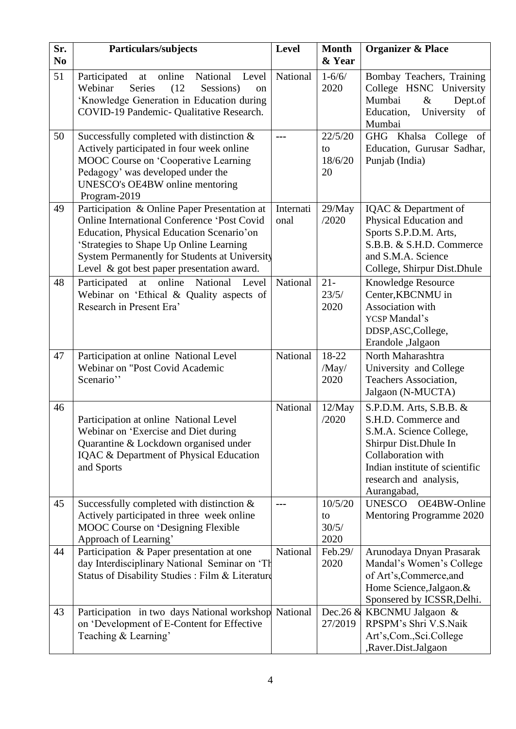| Sr.<br>N <sub>0</sub> | Particulars/subjects                                                                                                                                                                                                                                                                      | <b>Level</b>      | <b>Month</b><br>& Year         | <b>Organizer &amp; Place</b>                                                                                                                                                                         |
|-----------------------|-------------------------------------------------------------------------------------------------------------------------------------------------------------------------------------------------------------------------------------------------------------------------------------------|-------------------|--------------------------------|------------------------------------------------------------------------------------------------------------------------------------------------------------------------------------------------------|
| 51                    | National<br>online<br>Participated<br>Level<br>at<br>Webinar<br>Series<br>(12)<br>Sessions)<br>on<br>'Knowledge Generation in Education during<br>COVID-19 Pandemic- Qualitative Research.                                                                                                | National          | $1 - 6/6/$<br>2020             | Bombay Teachers, Training<br>College HSNC University<br>Mumbai<br>$\&$<br>Dept.of<br>University<br>Education,<br>of<br>Mumbai                                                                        |
| 50                    | Successfully completed with distinction $\&$<br>Actively participated in four week online<br>MOOC Course on 'Cooperative Learning<br>Pedagogy' was developed under the<br>UNESCO's OE4BW online mentoring<br>Program-2019                                                                 | ---               | 22/5/20<br>to<br>18/6/20<br>20 | GHG Khalsa College<br><sub>of</sub><br>Education, Gurusar Sadhar,<br>Punjab (India)                                                                                                                  |
| 49                    | Participation & Online Paper Presentation at<br><b>Online International Conference 'Post Covid</b><br>Education, Physical Education Scenario'on<br>'Strategies to Shape Up Online Learning<br>System Permanently for Students at University<br>Level & got best paper presentation award. | Internati<br>onal | 29/May<br>/2020                | IQAC & Department of<br>Physical Education and<br>Sports S.P.D.M. Arts,<br>S.B.B. & S.H.D. Commerce<br>and S.M.A. Science<br>College, Shirpur Dist. Dhule                                            |
| 48                    | at online National<br>Participated<br>Level<br>Webinar on 'Ethical & Quality aspects of<br>Research in Present Era'                                                                                                                                                                       | National          | $21 -$<br>23/5/<br>2020        | Knowledge Resource<br>Center, KBCNMU in<br>Association with<br>YCSP Mandal's<br>DDSP, ASC, College,<br>Erandole ,Jalgaon                                                                             |
| 47                    | Participation at online National Level<br>Webinar on "Post Covid Academic<br>Scenario"                                                                                                                                                                                                    | National          | 18-22<br>/May/<br>2020         | North Maharashtra<br>University and College<br>Teachers Association,<br>Jalgaon (N-MUCTA)                                                                                                            |
| 46                    | Participation at online National Level<br>Webinar on 'Exercise and Diet during<br>Quarantine & Lockdown organised under<br>IQAC & Department of Physical Education<br>and Sports                                                                                                          | National          | 12/May<br>/2020                | S.P.D.M. Arts, S.B.B. &<br>S.H.D. Commerce and<br>S.M.A. Science College,<br>Shirpur Dist. Dhule In<br>Collaboration with<br>Indian institute of scientific<br>research and analysis,<br>Aurangabad, |
| 45                    | Successfully completed with distinction $\&$<br>Actively participated in three week online<br><b>MOOC</b> Course on 'Designing Flexible<br>Approach of Learning'                                                                                                                          | ---               | 10/5/20<br>to<br>30/5/<br>2020 | OE4BW-Online<br><b>UNESCO</b><br>Mentoring Programme 2020                                                                                                                                            |
| 44                    | Participation & Paper presentation at one<br>day Interdisciplinary National Seminar on 'Th<br>Status of Disability Studies : Film & Literature                                                                                                                                            | National          | Feb.29/<br>2020                | Arunodaya Dnyan Prasarak<br>Mandal's Women's College<br>of Art's, Commerce, and<br>Home Science, Jalgaon. &<br>Sponsered by ICSSR, Delhi.                                                            |
| 43                    | Participation in two days National workshop<br>on 'Development of E-Content for Effective<br>Teaching & Learning'                                                                                                                                                                         | National          | Dec. $26 \&$<br>27/2019        | KBCNMU Jalgaon &<br>RPSPM's Shri V.S.Naik<br>Art's,Com.,Sci.College<br>,Raver.Dist.Jalgaon                                                                                                           |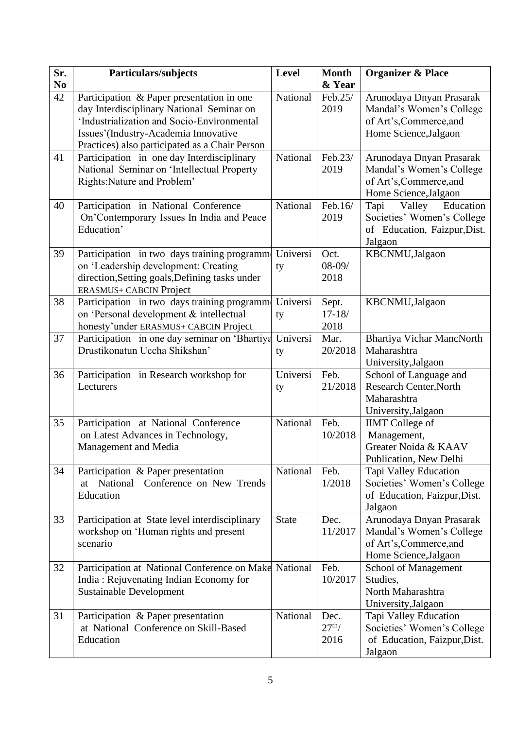| Sr.            | <b>Particulars/subjects</b>                                                            | Level        | <b>Month</b>       | <b>Organizer &amp; Place</b>                        |
|----------------|----------------------------------------------------------------------------------------|--------------|--------------------|-----------------------------------------------------|
| N <sub>0</sub> |                                                                                        |              | & Year             |                                                     |
| 42             | Participation & Paper presentation in one<br>day Interdisciplinary National Seminar on | National     | Feb.25/<br>2019    | Arunodaya Dnyan Prasarak                            |
|                | 'Industrialization and Socio-Environmental                                             |              |                    | Mandal's Women's College<br>of Art's, Commerce, and |
|                | Issues'(Industry-Academia Innovative                                                   |              |                    | Home Science, Jalgaon                               |
|                | Practices) also participated as a Chair Person                                         |              |                    |                                                     |
| 41             | Participation in one day Interdisciplinary                                             | National     | Feb.23/            | Arunodaya Dnyan Prasarak                            |
|                | National Seminar on 'Intellectual Property                                             |              | 2019               | Mandal's Women's College                            |
|                | Rights: Nature and Problem'                                                            |              |                    | of Art's, Commerce, and                             |
|                |                                                                                        |              |                    | Home Science, Jalgaon                               |
| 40             | Participation in National Conference                                                   | National     | Feb.16/            | Valley<br>Education<br>Tapi                         |
|                | On'Contemporary Issues In India and Peace                                              |              | 2019               | Societies' Women's College                          |
|                | Education'                                                                             |              |                    | of Education, Faizpur, Dist.                        |
|                |                                                                                        |              |                    | Jalgaon                                             |
| 39             | Participation in two days training programm                                            | Universi     | Oct.               | KBCNMU,Jalgaon                                      |
|                | on 'Leadership development: Creating                                                   | ty           | $08 - 09/$         |                                                     |
|                | direction, Setting goals, Defining tasks under                                         |              | 2018               |                                                     |
|                | <b>ERASMUS+ CABCIN Project</b>                                                         |              |                    |                                                     |
| 38             | Participation in two days training programm                                            | Universi     | Sept.              | KBCNMU,Jalgaon                                      |
|                | on 'Personal development & intellectual                                                | ty           | $17 - 18/$<br>2018 |                                                     |
| 37             | honesty'under ERASMUS+ CABCIN Project<br>Participation in one day seminar on 'Bhartiya | Universi     | Mar.               | <b>Bhartiya Vichar MancNorth</b>                    |
|                | Drustikonatun Uccha Shikshan'                                                          | ty           | 20/2018            | Maharashtra                                         |
|                |                                                                                        |              |                    | University, Jalgaon                                 |
| 36             | Participation in Research workshop for                                                 | Universi     | Feb.               | School of Language and                              |
|                | Lecturers                                                                              | ty           | 21/2018            | <b>Research Center, North</b>                       |
|                |                                                                                        |              |                    | Maharashtra                                         |
|                |                                                                                        |              |                    | University, Jalgaon                                 |
| 35             | Participation at National Conference                                                   | National     | Feb.               | <b>IIMT</b> College of                              |
|                | on Latest Advances in Technology,                                                      |              | 10/2018            | Management,                                         |
|                | Management and Media                                                                   |              |                    | Greater Noida & KAAV                                |
|                |                                                                                        |              |                    | Publication, New Delhi                              |
| 34             | Participation & Paper presentation                                                     | National     | Feb.               | Tapi Valley Education                               |
|                | National<br>Conference on New Trends<br>at                                             |              | 1/2018             | Societies' Women's College                          |
|                | Education                                                                              |              |                    | of Education, Faizpur, Dist.                        |
| 33             | Participation at State level interdisciplinary                                         | <b>State</b> | Dec.               | Jalgaon<br>Arunodaya Dnyan Prasarak                 |
|                | workshop on 'Human rights and present                                                  |              | 11/2017            | Mandal's Women's College                            |
|                | scenario                                                                               |              |                    | of Art's, Commerce, and                             |
|                |                                                                                        |              |                    | Home Science, Jalgaon                               |
| 32             | Participation at National Conference on Make                                           | National     | Feb.               | School of Management                                |
|                | India: Rejuvenating Indian Economy for                                                 |              | 10/2017            | Studies,                                            |
|                | <b>Sustainable Development</b>                                                         |              |                    | North Maharashtra                                   |
|                |                                                                                        |              |                    | University, Jalgaon                                 |
| 31             | Participation & Paper presentation                                                     | National     | Dec.               | Tapi Valley Education                               |
|                | at National Conference on Skill-Based                                                  |              | $27th$ /           | Societies' Women's College                          |
|                | Education                                                                              |              | 2016               | of Education, Faizpur, Dist.                        |
|                |                                                                                        |              |                    | Jalgaon                                             |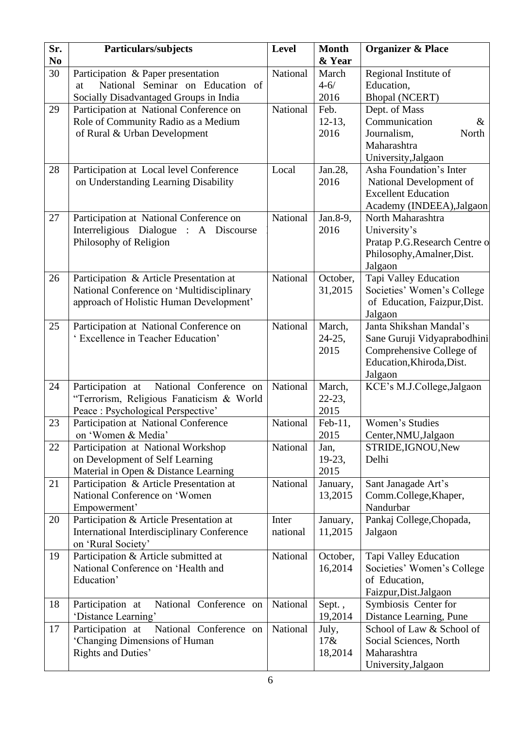| Sr.<br>N <sub>0</sub> | Particulars/subjects                                                                                                            | <b>Level</b>      | <b>Month</b><br>& Year        | <b>Organizer &amp; Place</b>                                                                                               |
|-----------------------|---------------------------------------------------------------------------------------------------------------------------------|-------------------|-------------------------------|----------------------------------------------------------------------------------------------------------------------------|
| 30                    | Participation & Paper presentation<br>National Seminar on Education of<br>at<br>Socially Disadvantaged Groups in India          | National          | March<br>$4 - 6/$<br>2016     | Regional Institute of<br>Education,<br><b>Bhopal (NCERT)</b>                                                               |
| 29                    | Participation at National Conference on<br>Role of Community Radio as a Medium<br>of Rural & Urban Development                  | National          | Feb.<br>$12-13,$<br>2016      | Dept. of Mass<br>Communication<br>$\&$<br>Journalism,<br>North<br>Maharashtra<br>University, Jalgaon                       |
| 28                    | Participation at Local level Conference<br>on Understanding Learning Disability                                                 | Local             | Jan.28,<br>2016               | Asha Foundation's Inter<br>National Development of<br><b>Excellent Education</b><br>Academy (INDEEA), Jalgaon              |
| 27                    | Participation at National Conference on<br>Interreligious Dialogue : A Discourse<br>Philosophy of Religion                      | National          | Jan.8-9,<br>2016              | North Maharashtra<br>University's<br>Pratap P.G.Research Centre o<br>Philosophy, Amalner, Dist.<br>Jalgaon                 |
| 26                    | Participation & Article Presentation at<br>National Conference on 'Multidisciplinary<br>approach of Holistic Human Development' | National          | October,<br>31,2015           | Tapi Valley Education<br>Societies' Women's College<br>of Education, Faizpur, Dist.<br>Jalgaon                             |
| 25                    | Participation at National Conference on<br>' Excellence in Teacher Education'                                                   | National          | March,<br>$24-25,$<br>2015    | Janta Shikshan Mandal's<br>Sane Guruji Vidyaprabodhini<br>Comprehensive College of<br>Education, Khiroda, Dist.<br>Jalgaon |
| 24                    | National Conference on<br>Participation at<br>"Terrorism, Religious Fanaticism & World<br>Peace : Psychological Perspective'    | National          | March,<br>$22 - 23$ ,<br>2015 | KCE's M.J.College, Jalgaon                                                                                                 |
| 23                    | Participation at National Conference<br>on 'Women & Media'                                                                      | National          | Feb-11,<br>2015               | Women's Studies<br>Center, NMU, Jalgaon                                                                                    |
| 22                    | Participation at National Workshop<br>on Development of Self Learning<br>Material in Open & Distance Learning                   | National          | Jan,<br>$19-23,$<br>2015      | STRIDE, IGNOU, New<br>Delhi                                                                                                |
| 21                    | Participation & Article Presentation at<br>National Conference on 'Women<br>Empowerment'                                        | National          | January,<br>13,2015           | Sant Janagade Art's<br>Comm.College, Khaper,<br>Nandurbar                                                                  |
| 20                    | Participation & Article Presentation at<br><b>International Interdisciplinary Conference</b><br>on 'Rural Society'              | Inter<br>national | January,<br>11,2015           | Pankaj College, Chopada,<br>Jalgaon                                                                                        |
| 19                    | Participation & Article submitted at<br>National Conference on 'Health and<br>Education'                                        | National          | October,<br>16,2014           | Tapi Valley Education<br>Societies' Women's College<br>of Education,<br>Faizpur, Dist. Jalgaon                             |
| 18                    | National Conference on<br>Participation at<br>'Distance Learning'                                                               | National          | Sept.,<br>19,2014             | Symbiosis Center for<br>Distance Learning, Pune                                                                            |
| 17                    | National Conference on<br>Participation at<br>'Changing Dimensions of Human<br>Rights and Duties'                               | National          | July,<br>17&x<br>18,2014      | School of Law & School of<br>Social Sciences, North<br>Maharashtra<br>University, Jalgaon                                  |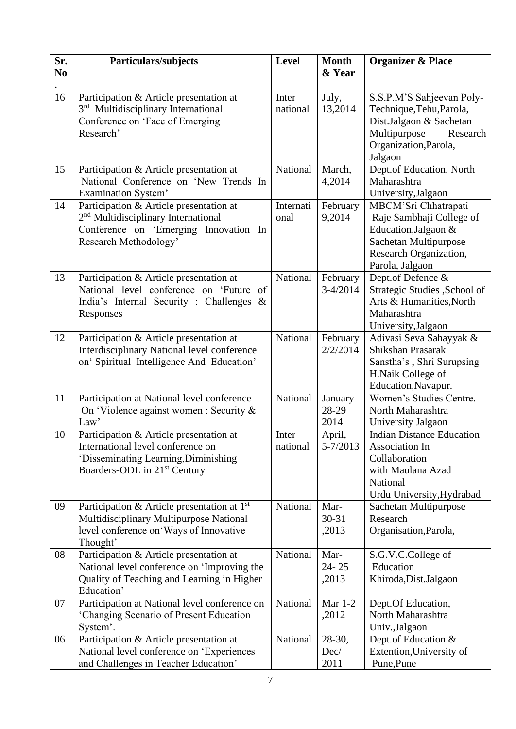| Sr.<br>N <sub>0</sub> | Particulars/subjects                                                                                                                                             | <b>Level</b>      | <b>Month</b><br>& Year     | <b>Organizer &amp; Place</b>                                                                                                                     |
|-----------------------|------------------------------------------------------------------------------------------------------------------------------------------------------------------|-------------------|----------------------------|--------------------------------------------------------------------------------------------------------------------------------------------------|
| 16                    | Participation & Article presentation at<br>3 <sup>rd</sup> Multidisciplinary International<br>Conference on 'Face of Emerging<br>Research'                       | Inter<br>national | July,<br>13,2014           | S.S.P.M'S Sahjeevan Poly-<br>Technique, Tehu, Parola,<br>Dist.Jalgaon & Sachetan<br>Multipurpose<br>Research<br>Organization, Parola,<br>Jalgaon |
| 15                    | Participation & Article presentation at<br>National Conference on 'New Trends In<br>Examination System'                                                          | National          | March,<br>4,2014           | Dept.of Education, North<br>Maharashtra<br>University, Jalgaon                                                                                   |
| 14                    | Participation & Article presentation at<br>2 <sup>nd</sup> Multidisciplinary International<br>Conference on 'Emerging Innovation In<br>Research Methodology'     | Internati<br>onal | February<br>9,2014         | MBCM'Sri Chhatrapati<br>Raje Sambhaji College of<br>Education, Jalgaon &<br>Sachetan Multipurpose<br>Research Organization,<br>Parola, Jalgaon   |
| 13                    | Participation & Article presentation at<br>National level conference on 'Future of<br>India's Internal Security : Challenges &<br>Responses                      | National          | February<br>$3-4/2014$     | Dept.of Defence &<br>Strategic Studies , School of<br>Arts & Humanities, North<br>Maharashtra<br>University, Jalgaon                             |
| 12                    | Participation & Article presentation at<br>Interdisciplinary National level conference<br>on' Spiritual Intelligence And Education'                              | National          | February<br>2/2/2014       | Adivasi Seva Sahayyak &<br>Shikshan Prasarak<br>Sanstha's, Shri Surupsing<br>H.Naik College of<br>Education, Navapur.                            |
| 11                    | Participation at National level conference<br>On 'Violence against women : Security &<br>Law'                                                                    | National          | January<br>28-29<br>2014   | Women's Studies Centre.<br>North Maharashtra<br>University Jalgaon                                                                               |
| 10                    | Participation & Article presentation at<br>International level conference on<br>'Disseminating Learning, Diminishing<br>Boarders-ODL in 21 <sup>st</sup> Century | Inter<br>national | April,<br>$5 - 7/2013$     | <b>Indian Distance Education</b><br>Association In<br>Collaboration<br>with Maulana Azad<br>National<br>Urdu University, Hydrabad                |
| 09                    | Participation & Article presentation at 1 <sup>st</sup><br>Multidisciplinary Multipurpose National<br>level conference on Ways of Innovative<br>Thought'         | National          | Mar-<br>$30 - 31$<br>,2013 | Sachetan Multipurpose<br>Research<br>Organisation, Parola,                                                                                       |
| 08                    | Participation & Article presentation at<br>National level conference on 'Improving the<br>Quality of Teaching and Learning in Higher<br>Education'               | National          | Mar-<br>$24 - 25$<br>,2013 | S.G.V.C.College of<br>Education<br>Khiroda, Dist. Jalgaon                                                                                        |
| 07                    | Participation at National level conference on<br>'Changing Scenario of Present Education<br>System'.                                                             | National          | <b>Mar 1-2</b><br>,2012    | Dept.Of Education,<br>North Maharashtra<br>Univ., Jalgaon                                                                                        |
| 06                    | Participation & Article presentation at<br>National level conference on 'Experiences<br>and Challenges in Teacher Education'                                     | National          | 28-30,<br>Dec/<br>2011     | Dept.of Education &<br>Extention, University of<br>Pune, Pune                                                                                    |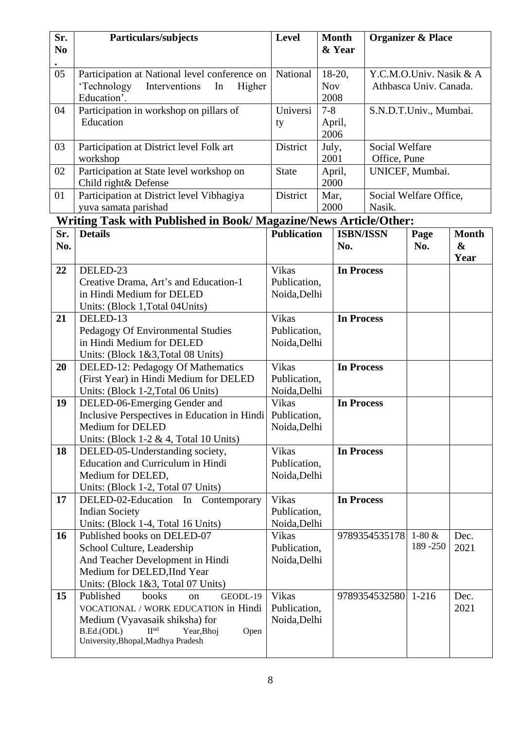| Sr.<br>N <sub>0</sub> | Particulars/subjects                                                                                                                                                                                          | <b>Level</b>                                 | <b>Month</b><br>& Year         |                                | <b>Organizer &amp; Place</b>                      |                                           |
|-----------------------|---------------------------------------------------------------------------------------------------------------------------------------------------------------------------------------------------------------|----------------------------------------------|--------------------------------|--------------------------------|---------------------------------------------------|-------------------------------------------|
| 05                    | Participation at National level conference on<br>'Technology<br>Interventions<br>Higher<br>In<br>Education'.                                                                                                  | National                                     | $18-20,$<br><b>Nov</b><br>2008 |                                | Y.C.M.O.Univ. Nasik & A<br>Athbasca Univ. Canada. |                                           |
| 04                    | Participation in workshop on pillars of<br>Education                                                                                                                                                          | Universi<br>ty                               | $7 - 8$<br>April,<br>2006      |                                | S.N.D.T.Univ., Mumbai.                            |                                           |
| 03                    | Participation at District level Folk art<br>workshop                                                                                                                                                          | District                                     | July,<br>2001                  | Social Welfare<br>Office, Pune |                                                   |                                           |
| 02                    | Participation at State level workshop on<br>Child right& Defense                                                                                                                                              | <b>State</b>                                 | April,<br>2000                 |                                | UNICEF, Mumbai.                                   |                                           |
| 01                    | Participation at District level Vibhagiya<br>yuva samata parishad                                                                                                                                             | District                                     | Mar,<br>2000                   | Nasik.                         | Social Welfare Office,                            |                                           |
|                       | Writing Task with Published in Book/ Magazine/News Article/Other:                                                                                                                                             |                                              |                                |                                |                                                   |                                           |
| Sr.<br>No.            | <b>Details</b>                                                                                                                                                                                                | <b>Publication</b>                           | No.                            | <b>ISBN/ISSN</b>               | Page<br>No.                                       | <b>Month</b><br>$\boldsymbol{\&}$<br>Year |
| 22                    | DELED-23<br>Creative Drama, Art's and Education-1<br>in Hindi Medium for DELED<br>Units: (Block 1, Total 04 Units)                                                                                            | Vikas<br>Publication,<br>Noida, Delhi        |                                | <b>In Process</b>              |                                                   |                                           |
| 21                    | DELED-13<br>Pedagogy Of Environmental Studies<br>in Hindi Medium for DELED<br>Units: (Block 1&3, Total 08 Units)                                                                                              | <b>Vikas</b><br>Publication,<br>Noida, Delhi |                                | <b>In Process</b>              |                                                   |                                           |
| 20                    | DELED-12: Pedagogy Of Mathematics<br>(First Year) in Hindi Medium for DELED<br>Units: (Block 1-2, Total 06 Units)                                                                                             | <b>Vikas</b><br>Publication,<br>Noida, Delhi |                                | <b>In Process</b>              |                                                   |                                           |
| 19                    | DELED-06-Emerging Gender and<br>Inclusive Perspectives in Education in Hindi   Publication,<br>Medium for DELED<br>Units: (Block 1-2 & 4, Total 10 Units)                                                     | Vikas<br>Noida, Delhi                        |                                | <b>In Process</b>              |                                                   |                                           |
| 18                    | DELED-05-Understanding society,<br>Education and Curriculum in Hindi<br>Medium for DELED,<br>Units: (Block 1-2, Total 07 Units)                                                                               | Vikas<br>Publication,<br>Noida, Delhi        |                                | <b>In Process</b>              |                                                   |                                           |
| 17                    | DELED-02-Education In Contemporary<br><b>Indian Society</b><br>Units: (Block 1-4, Total 16 Units)                                                                                                             | Vikas<br>Publication,<br>Noida, Delhi        |                                | <b>In Process</b>              |                                                   |                                           |
| 16                    | Published books on DELED-07<br>School Culture, Leadership<br>And Teacher Development in Hindi<br>Medium for DELED, IInd Year<br>Units: (Block 1&3, Total 07 Units)                                            | <b>Vikas</b><br>Publication,<br>Noida, Delhi |                                | 9789354535178                  | $1-80 &$<br>189 - 250                             | Dec.<br>2021                              |
| 15                    | Published<br>books<br>GEODL-19<br>on<br>VOCATIONAL / WORK EDUCATION in Hindi<br>Medium (Vyavasaik shiksha) for<br>B.Ed.(ODL)<br>$\Pi^{\text{nd}}$<br>Year, Bhoj<br>Open<br>University, Bhopal, Madhya Pradesh | Vikas<br>Publication,<br>Noida, Delhi        |                                | 9789354532580                  | $1 - 216$                                         | Dec.<br>2021                              |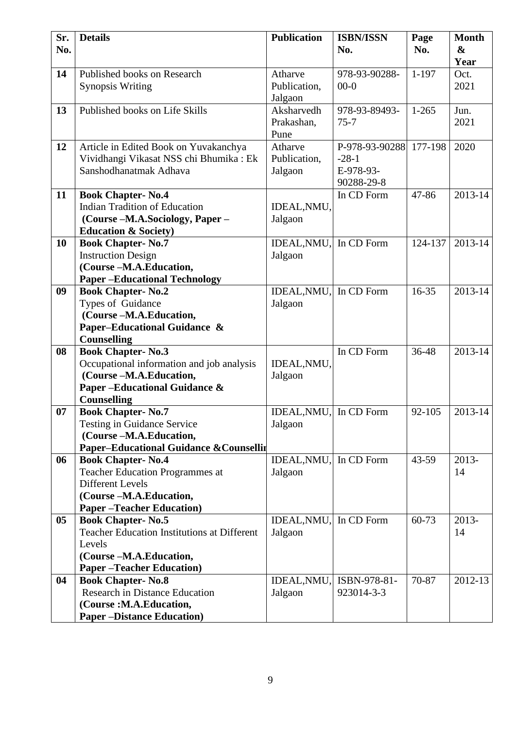| Sr.<br>No. | <b>Details</b>                                                   | <b>Publication</b>     | <b>ISBN/ISSN</b><br>No.  | Page<br>No. | <b>Month</b><br>$\boldsymbol{\&}$ |
|------------|------------------------------------------------------------------|------------------------|--------------------------|-------------|-----------------------------------|
|            |                                                                  |                        |                          |             | Year                              |
| 14         | Published books on Research                                      | Atharve                | 978-93-90288-            | $1 - 197$   | Oct.                              |
|            | <b>Synopsis Writing</b>                                          | Publication,           | $00-0$                   |             | 2021                              |
|            |                                                                  | Jalgaon                |                          |             |                                   |
| 13         | Published books on Life Skills                                   | Aksharvedh             | 978-93-89493-            | $1 - 265$   | Jun.                              |
|            |                                                                  | Prakashan,             | $75 - 7$                 |             | 2021                              |
|            |                                                                  | Pune                   |                          |             |                                   |
| 12         | Article in Edited Book on Yuvakanchya                            | Atharve                | P-978-93-90288           | 177-198     | 2020                              |
|            | Vividhangi Vikasat NSS chi Bhumika : Ek                          | Publication,           | $-28-1$                  |             |                                   |
|            | Sanshodhanatmak Adhava                                           | Jalgaon                | E-978-93-                |             |                                   |
| 11         |                                                                  |                        | 90288-29-8<br>In CD Form | 47-86       | 2013-14                           |
|            | <b>Book Chapter-No.4</b><br><b>Indian Tradition of Education</b> | IDEAL, NMU,            |                          |             |                                   |
|            | (Course -M.A.Sociology, Paper -                                  | Jalgaon                |                          |             |                                   |
|            | <b>Education &amp; Society)</b>                                  |                        |                          |             |                                   |
| 10         | <b>Book Chapter-No.7</b>                                         | IDEAL, NMU,            | In CD Form               | 124-137     | 2013-14                           |
|            | <b>Instruction Design</b>                                        | Jalgaon                |                          |             |                                   |
|            | (Course-M.A.Education,                                           |                        |                          |             |                                   |
|            | <b>Paper-Educational Technology</b>                              |                        |                          |             |                                   |
| 09         | <b>Book Chapter-No.2</b>                                         | IDEAL, NMU, In CD Form |                          | $16 - 35$   | 2013-14                           |
|            | Types of Guidance                                                | Jalgaon                |                          |             |                                   |
|            | (Course-M.A.Education,                                           |                        |                          |             |                                   |
|            | Paper-Educational Guidance &                                     |                        |                          |             |                                   |
|            | <b>Counselling</b>                                               |                        |                          |             |                                   |
| 08         | <b>Book Chapter-No.3</b>                                         |                        | In CD Form               | 36-48       | 2013-14                           |
|            | Occupational information and job analysis                        | IDEAL, NMU,            |                          |             |                                   |
|            | (Course-M.A.Education,                                           | Jalgaon                |                          |             |                                   |
|            | Paper-Educational Guidance &                                     |                        |                          |             |                                   |
|            | <b>Counselling</b>                                               |                        |                          |             |                                   |
| 07         | <b>Book Chapter-No.7</b>                                         | IDEAL, NMU, In CD Form |                          | 92-105      | 2013-14                           |
|            | <b>Testing in Guidance Service</b><br>(Course-M.A.Education,     | Jalgaon                |                          |             |                                   |
|            | <b>Paper-Educational Guidance &amp; Counsellir</b>               |                        |                          |             |                                   |
| 06         | <b>Book Chapter-No.4</b>                                         | IDEAL, NMU,            | In CD Form               | $43 - 59$   | 2013-                             |
|            | <b>Teacher Education Programmes at</b>                           | Jalgaon                |                          |             | 14                                |
|            | <b>Different Levels</b>                                          |                        |                          |             |                                   |
|            | (Course-M.A.Education,                                           |                        |                          |             |                                   |
|            | <b>Paper-Teacher Education</b> )                                 |                        |                          |             |                                   |
| 05         | <b>Book Chapter-No.5</b>                                         | IDEAL, NMU,            | In CD Form               | 60-73       | 2013-                             |
|            | <b>Teacher Education Institutions at Different</b>               | Jalgaon                |                          |             | 14                                |
|            | Levels                                                           |                        |                          |             |                                   |
|            | (Course-M.A.Education,                                           |                        |                          |             |                                   |
|            | <b>Paper-Teacher Education</b> )                                 |                        |                          |             |                                   |
| 04         | <b>Book Chapter-No.8</b>                                         | IDEAL, NMU,            | ISBN-978-81-             | 70-87       | 2012-13                           |
|            | <b>Research in Distance Education</b>                            | Jalgaon                | 923014-3-3               |             |                                   |
|            | (Course:M.A.Education,                                           |                        |                          |             |                                   |
|            | <b>Paper-Distance Education</b> )                                |                        |                          |             |                                   |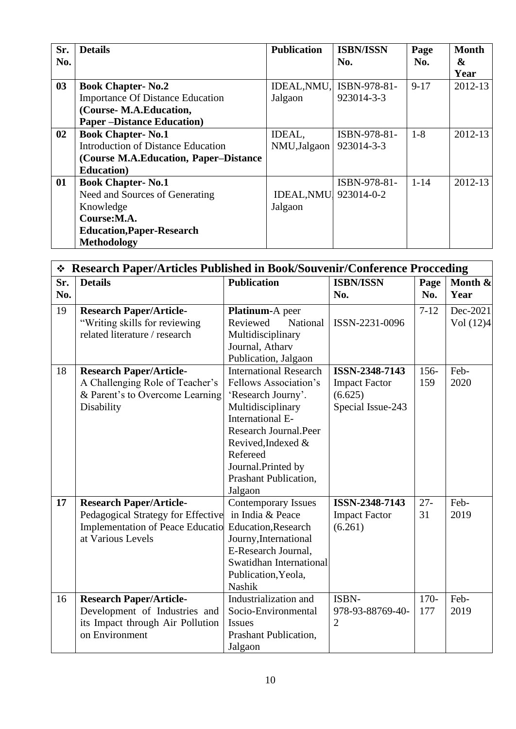| Sr. | <b>Details</b>                          | <b>Publication</b>        | <b>ISBN/ISSN</b>         | Page     | <b>Month</b> |
|-----|-----------------------------------------|---------------------------|--------------------------|----------|--------------|
| No. |                                         |                           | No.                      | No.      | &            |
|     |                                         |                           |                          |          | Year         |
| 03  | <b>Book Chapter-No.2</b>                |                           | IDEAL, NMU, ISBN-978-81- | $9-17$   | 2012-13      |
|     | <b>Importance Of Distance Education</b> | Jalgaon                   | 923014-3-3               |          |              |
|     | (Course-M.A.Education,                  |                           |                          |          |              |
|     | <b>Paper-Distance Education</b> )       |                           |                          |          |              |
| 02  | <b>Book Chapter-No.1</b>                | IDEAL,                    | ISBN-978-81-             | $1 - 8$  | 2012-13      |
|     | Introduction of Distance Education      | NMU, Jalgaon   923014-3-3 |                          |          |              |
|     | (Course M.A.Education, Paper–Distance)  |                           |                          |          |              |
|     | <b>Education</b> )                      |                           |                          |          |              |
| 01  | <b>Book Chapter-No.1</b>                |                           | ISBN-978-81-             | $1 - 14$ | 2012-13      |
|     | Need and Sources of Generating          | IDEAL, NMU 923014-0-2     |                          |          |              |
|     | Knowledge                               | Jalgaon                   |                          |          |              |
|     | Course:M.A.                             |                           |                          |          |              |
|     | <b>Education, Paper-Research</b>        |                           |                          |          |              |
|     | Methodology                             |                           |                          |          |              |

|     | ❖ Research Paper/Articles Published in Book/Souvenir/Conference Procceding |                               |                      |          |           |  |
|-----|----------------------------------------------------------------------------|-------------------------------|----------------------|----------|-----------|--|
| Sr. | <b>Details</b>                                                             | <b>Publication</b>            | <b>ISBN/ISSN</b>     | Page     | Month &   |  |
| No. |                                                                            |                               | No.                  | No.      | Year      |  |
| 19  | <b>Research Paper/Article-</b>                                             | Platinum-A peer               |                      | $7 - 12$ | Dec-2021  |  |
|     | "Writing skills for reviewing                                              | Reviewed<br>National          | ISSN-2231-0096       |          | Vol (12)4 |  |
|     | related literature / research                                              | Multidisciplinary             |                      |          |           |  |
|     |                                                                            | Journal, Atharv               |                      |          |           |  |
|     |                                                                            | Publication, Jalgaon          |                      |          |           |  |
| 18  | <b>Research Paper/Article-</b>                                             | <b>International Research</b> | ISSN-2348-7143       | 156-     | Feb-      |  |
|     | A Challenging Role of Teacher's                                            | Fellows Association's         | <b>Impact Factor</b> | 159      | 2020      |  |
|     | & Parent's to Overcome Learning                                            | 'Research Journy'.            | (6.625)              |          |           |  |
|     | Disability                                                                 | Multidisciplinary             | Special Issue-243    |          |           |  |
|     |                                                                            | International E-              |                      |          |           |  |
|     |                                                                            | Research Journal.Peer         |                      |          |           |  |
|     |                                                                            | Revived, Indexed &            |                      |          |           |  |
|     |                                                                            | Refereed                      |                      |          |           |  |
|     |                                                                            | Journal.Printed by            |                      |          |           |  |
|     |                                                                            | Prashant Publication,         |                      |          |           |  |
|     |                                                                            | Jalgaon                       |                      |          |           |  |
| 17  | <b>Research Paper/Article-</b>                                             | <b>Contemporary Issues</b>    | ISSN-2348-7143       | $27 -$   | Feb-      |  |
|     | Pedagogical Strategy for Effective                                         | in India & Peace              | <b>Impact Factor</b> | 31       | 2019      |  |
|     | <b>Implementation of Peace Educatio</b>                                    | <b>Education, Research</b>    | (6.261)              |          |           |  |
|     | at Various Levels                                                          | Journy, International         |                      |          |           |  |
|     |                                                                            | E-Research Journal,           |                      |          |           |  |
|     |                                                                            | Swatidhan International       |                      |          |           |  |
|     |                                                                            | Publication, Yeola,           |                      |          |           |  |
|     |                                                                            | Nashik                        |                      |          |           |  |
| 16  | <b>Research Paper/Article-</b>                                             | Industrialization and         | ISBN-                | $170-$   | Feb-      |  |
|     | Development of Industries and                                              | Socio-Environmental           | 978-93-88769-40-     | 177      | 2019      |  |
|     | its Impact through Air Pollution                                           | <b>Issues</b>                 | $\overline{2}$       |          |           |  |
|     | on Environment                                                             | Prashant Publication,         |                      |          |           |  |
|     |                                                                            | Jalgaon                       |                      |          |           |  |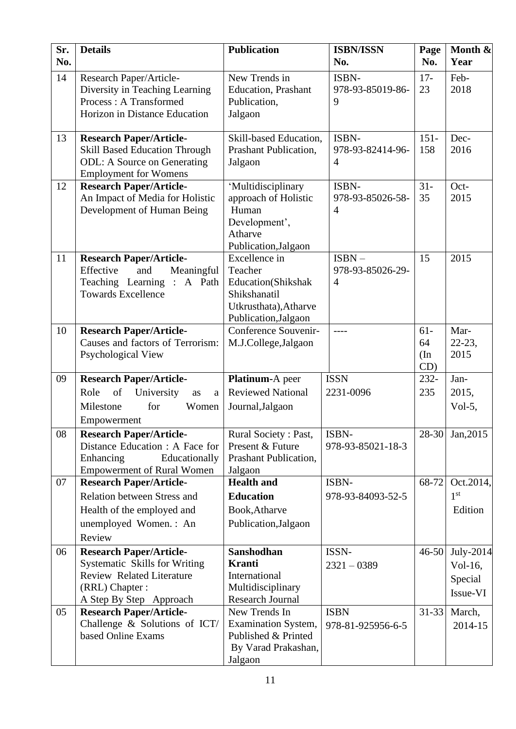| Sr.<br>No. | <b>Details</b>                                                                                                                                   | <b>Publication</b>                                                                                              | <b>ISBN/ISSN</b><br>No.                        | Page<br>No.               | Month &<br>Year                             |
|------------|--------------------------------------------------------------------------------------------------------------------------------------------------|-----------------------------------------------------------------------------------------------------------------|------------------------------------------------|---------------------------|---------------------------------------------|
| 14         | Research Paper/Article-<br>Diversity in Teaching Learning<br>Process: A Transformed<br>Horizon in Distance Education                             | New Trends in<br>Education, Prashant<br>Publication,<br>Jalgaon                                                 | ISBN-<br>978-93-85019-86-<br>9                 | $17 -$<br>23              | Feb-<br>2018                                |
| 13         | <b>Research Paper/Article-</b><br><b>Skill Based Education Through</b><br><b>ODL:</b> A Source on Generating<br><b>Employment for Womens</b>     | Skill-based Education,<br>Prashant Publication,<br>Jalgaon                                                      | ISBN-<br>978-93-82414-96-<br>$\overline{4}$    | $151 -$<br>158            | Dec-<br>2016                                |
| 12         | <b>Research Paper/Article-</b><br>An Impact of Media for Holistic<br>Development of Human Being                                                  | 'Multidisciplinary<br>approach of Holistic<br>Human<br>Development',<br>Atharve<br>Publication, Jalgaon         | ISBN-<br>978-93-85026-58-<br>$\overline{4}$    | $31 -$<br>35              | Oct-<br>2015                                |
| 11         | <b>Research Paper/Article-</b><br>Effective<br>and<br>Meaningful<br>Teaching Learning :<br>A Path<br><b>Towards Excellence</b>                   | Excellence in<br>Teacher<br>Education(Shikshak<br>Shikshanatil<br>Utkrusthata), Atharve<br>Publication, Jalgaon | $ISBN -$<br>978-93-85026-29-<br>$\overline{4}$ | 15                        | 2015                                        |
| 10         | <b>Research Paper/Article-</b><br>Causes and factors of Terrorism:<br>Psychological View                                                         | Conference Souvenir-<br>M.J.College, Jalgaon                                                                    | ----                                           | $61-$<br>64<br>(In<br>CD) | Mar-<br>$22 - 23$ ,<br>2015                 |
| 09         | <b>Research Paper/Article-</b>                                                                                                                   | Platinum-A peer                                                                                                 | <b>ISSN</b>                                    | $232 -$                   | Jan-                                        |
|            | of<br>Role<br>University<br>as<br>a<br>Milestone<br>for<br>Women<br>Empowerment                                                                  | <b>Reviewed National</b><br>Journal, Jalgaon                                                                    | 2231-0096                                      | 235                       | 2015,<br>Vol-5,                             |
| 08         | <b>Research Paper/Article-</b><br>Distance Education : A Face for<br>Enhancing<br>Educationally<br><b>Empowerment of Rural Women</b>             | Rural Society: Past,<br>Present & Future<br>Prashant Publication,<br>Jalgaon                                    | ISBN-<br>978-93-85021-18-3                     |                           | 28-30 Jan, 2015                             |
| 07         | <b>Research Paper/Article-</b>                                                                                                                   | <b>Health and</b>                                                                                               | ISBN-                                          | 68-72                     | Oct.2014,                                   |
|            | Relation between Stress and<br>Health of the employed and<br>unemployed Women.: An<br>Review                                                     | <b>Education</b><br>Book, Atharve<br>Publication, Jalgaon                                                       | 978-93-84093-52-5                              |                           | 1 <sup>st</sup><br>Edition                  |
| 06         | <b>Research Paper/Article-</b><br>Systematic Skills for Writing<br><b>Review Related Literature</b><br>(RRL) Chapter:<br>A Step By Step Approach | Sanshodhan<br><b>Kranti</b><br>International<br>Multidisciplinary<br><b>Research Journal</b>                    | ISSN-<br>$2321 - 0389$                         | $46 - 50$                 | July-2014<br>Vol-16,<br>Special<br>Issue-VI |
| 05         | <b>Research Paper/Article-</b><br>Challenge & Solutions of ICT/<br>based Online Exams                                                            | New Trends In<br><b>Examination System,</b><br>Published & Printed<br>By Varad Prakashan,<br>Jalgaon            | <b>ISBN</b><br>978-81-925956-6-5               | $31 - 33$                 | March,<br>2014-15                           |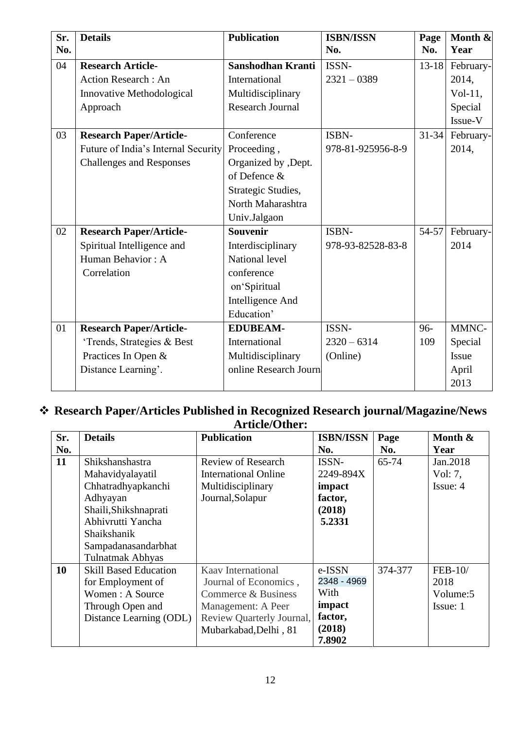| Sr.<br>No. | <b>Details</b>                      | <b>Publication</b>      | <b>ISBN/ISSN</b><br>No. | Page<br>No. | Month &<br>Year |
|------------|-------------------------------------|-------------------------|-------------------------|-------------|-----------------|
| 04         | <b>Research Article-</b>            | Sanshodhan Kranti       | ISSN-                   | $13 - 18$   | February-       |
|            | <b>Action Research: An</b>          | International           | $2321 - 0389$           |             | 2014,           |
|            | Innovative Methodological           | Multidisciplinary       |                         |             | $Vol-11$ ,      |
|            | Approach                            | <b>Research Journal</b> |                         |             | Special         |
|            |                                     |                         |                         |             | Issue-V         |
| 03         | <b>Research Paper/Article-</b>      | Conference              | ISBN-                   | $31 - 34$   | February-       |
|            | Future of India's Internal Security | Proceeding,             | 978-81-925956-8-9       |             | 2014,           |
|            | <b>Challenges and Responses</b>     | Organized by , Dept.    |                         |             |                 |
|            |                                     | of Defence &            |                         |             |                 |
|            |                                     | Strategic Studies,      |                         |             |                 |
|            |                                     | North Maharashtra       |                         |             |                 |
|            |                                     | Univ.Jalgaon            |                         |             |                 |
| 02         | <b>Research Paper/Article-</b>      | Souvenir                | ISBN-                   | $54 - 57$   | February-       |
|            | Spiritual Intelligence and          | Interdisciplinary       | 978-93-82528-83-8       |             | 2014            |
|            | Human Behavior: A                   | National level          |                         |             |                 |
|            | Correlation                         | conference              |                         |             |                 |
|            |                                     | on'Spiritual            |                         |             |                 |
|            |                                     | Intelligence And        |                         |             |                 |
|            |                                     | Education'              |                         |             |                 |
| 01         | <b>Research Paper/Article-</b>      | <b>EDUBEAM-</b>         | ISSN-                   | 96-         | MMNC-           |
|            | 'Trends, Strategies & Best          | International           | $2320 - 6314$           | 109         | Special         |
|            | Practices In Open &                 | Multidisciplinary       | (Online)                |             | Issue           |
|            | Distance Learning'.                 | online Research Journ   |                         |             | April           |
|            |                                     |                         |                         |             | 2013            |

#### ❖ **Research Paper/Articles Published in Recognized Research journal/Magazine/News Article/Other:**

| Sr. | <b>Details</b>               | <b>Publication</b>          | <b>ISBN/ISSN</b> | Page    | Month &   |
|-----|------------------------------|-----------------------------|------------------|---------|-----------|
| No. |                              |                             | No.              | No.     | Year      |
| 11  | Shikshanshastra              | Review of Research          | ISSN-            | 65-74   | Jan. 2018 |
|     | Mahavidyalayatil             | <b>International Online</b> | 2249-894X        |         | Vol: 7,   |
|     | Chhatradhyapkanchi           | Multidisciplinary           | impact           |         | Issue: 4  |
|     | Adhyayan                     | Journal, Solapur            | factor,          |         |           |
|     | Shaili, Shikshnaprati        |                             | (2018)           |         |           |
|     | Abhivrutti Yancha            |                             | 5.2331           |         |           |
|     | Shaikshanik                  |                             |                  |         |           |
|     | Sampadanasandarbhat          |                             |                  |         |           |
|     | <b>Tulnatmak Abhyas</b>      |                             |                  |         |           |
| 10  | <b>Skill Based Education</b> | Kaav International          | e-ISSN           | 374-377 | $FEB-10/$ |
|     | for Employment of            | Journal of Economics,       | 2348 - 4969      |         | 2018      |
|     | Women: A Source              | Commerce & Business         | With             |         | Volume: 5 |
|     | Through Open and             | Management: A Peer          | impact           |         | Issue: 1  |
|     | Distance Learning (ODL)      | Review Quarterly Journal,   | factor,          |         |           |
|     |                              | Mubarkabad, Delhi, 81       | (2018)           |         |           |
|     |                              |                             | 7.8902           |         |           |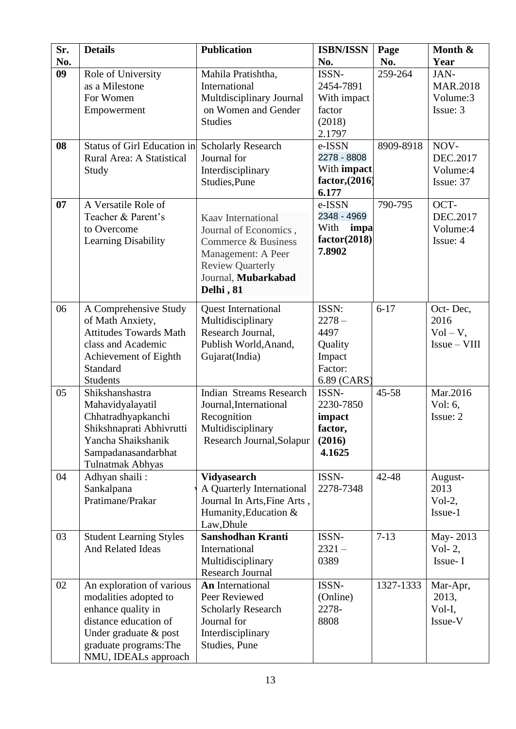| Sr. | <b>Details</b>                                                                                                                                                               | <b>Publication</b>                                                                                                                                      | <b>ISBN/ISSN</b>                                                         | Page      | Month &                                         |
|-----|------------------------------------------------------------------------------------------------------------------------------------------------------------------------------|---------------------------------------------------------------------------------------------------------------------------------------------------------|--------------------------------------------------------------------------|-----------|-------------------------------------------------|
| No. |                                                                                                                                                                              |                                                                                                                                                         | No.                                                                      | No.       | Year                                            |
| 09  | Role of University<br>as a Milestone<br>For Women<br>Empowerment                                                                                                             | Mahila Pratishtha,<br>International<br>Multdisciplinary Journal<br>on Women and Gender<br><b>Studies</b>                                                | ISSN-<br>2454-7891<br>With impact<br>factor<br>(2018)<br>2.1797          | 259-264   | JAN-<br><b>MAR.2018</b><br>Volume:3<br>Issue: 3 |
| 08  | <b>Status of Girl Education in</b><br>Rural Area: A Statistical<br>Study                                                                                                     | <b>Scholarly Research</b><br>Journal for<br>Interdisciplinary<br>Studies, Pune                                                                          | e-ISSN<br>2278 - 8808<br>With impact<br>factor, (2016)<br>6.177          | 8909-8918 | NOV-<br>DEC.2017<br>Volume:4<br>Issue: 37       |
| 07  | A Versatile Role of<br>Teacher & Parent's<br>to Overcome<br>Learning Disability                                                                                              | Kaav International<br>Journal of Economics,<br>Commerce & Business<br>Management: A Peer<br><b>Review Quarterly</b><br>Journal, Mubarkabad<br>Delhi, 81 | e-ISSN<br>2348 - 4969<br>With<br>impa<br>factor(2018)<br>7.8902          | 790-795   | OCT-<br>DEC.2017<br>Volume:4<br>Issue: 4        |
| 06  | A Comprehensive Study<br>of Math Anxiety,<br><b>Attitudes Towards Math</b><br>class and Academic<br>Achievement of Eighth<br>Standard<br><b>Students</b>                     | <b>Quest International</b><br>Multidisciplinary<br>Research Journal,<br>Publish World, Anand,<br>Gujarat(India)                                         | ISSN:<br>$2278 -$<br>4497<br>Quality<br>Impact<br>Factor:<br>6.89 (CARS) | $6 - 17$  | Oct-Dec,<br>2016<br>$Vol - V$ ,<br>$Issue-VIII$ |
| 05  | Shikshanshastra<br>Mahavidyalayatil<br>Chhatradhyapkanchi<br>Shikshnaprati Abhivrutti<br>Yancha Shaikshanik<br>Sampadanasandarbhat<br><b>Tulnatmak Abhyas</b>                | <b>Indian Streams Research</b><br>Journal, International<br>Recognition<br>Multidisciplinary<br>Research Journal, Solapur                               | ISSN-<br>2230-7850<br>impact<br>factor,<br>(2016)<br>4.1625              | 45-58     | Mar.2016<br>Vol: $6,$<br>Issue: 2               |
| 04  | Adhyan shaili:<br>Sankalpana<br>Pratimane/Prakar                                                                                                                             | <b>Vidyasearch</b><br>A Quarterly International<br>Journal In Arts, Fine Arts,<br>Humanity, Education &<br>Law, Dhule                                   | ISSN-<br>2278-7348                                                       | 42-48     | August-<br>2013<br>$Vol-2$ ,<br>Issue-1         |
| 03  | <b>Student Learning Styles</b><br><b>And Related Ideas</b>                                                                                                                   | Sanshodhan Kranti<br>International<br>Multidisciplinary<br>Research Journal                                                                             | ISSN-<br>$2321 -$<br>0389                                                | $7 - 13$  | May-2013<br>Vol- $2,$<br>Issue-I                |
| 02  | An exploration of various<br>modalities adopted to<br>enhance quality in<br>distance education of<br>Under graduate & post<br>graduate programs: The<br>NMU, IDEALs approach | <b>An International</b><br>Peer Reviewed<br><b>Scholarly Research</b><br>Journal for<br>Interdisciplinary<br>Studies, Pune                              | ISSN-<br>(Online)<br>2278-<br>8808                                       | 1327-1333 | Mar-Apr,<br>2013,<br>Vol-I,<br>Issue-V          |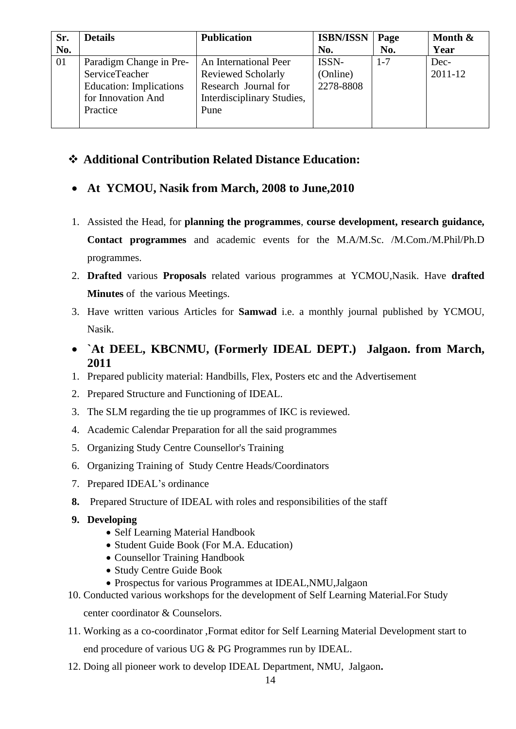| Sr. | <b>Details</b>                 | <b>Publication</b>         | <b>ISBN/ISSN</b> | Page    | Month $\&$ |
|-----|--------------------------------|----------------------------|------------------|---------|------------|
| No. |                                |                            | No.              | No.     | Year       |
| 01  | Paradigm Change in Pre-        | An International Peer      | ISSN-            | $1 - 7$ | Dec-       |
|     | ServiceTeacher                 | <b>Reviewed Scholarly</b>  | (Online)         |         | 2011-12    |
|     | <b>Education:</b> Implications | Research Journal for       | 2278-8808        |         |            |
|     | for Innovation And             | Interdisciplinary Studies, |                  |         |            |
|     | Practice                       | Pune                       |                  |         |            |
|     |                                |                            |                  |         |            |

### ❖ **Additional Contribution Related Distance Education:**

- **At YCMOU, Nasik from March, 2008 to June,2010**
- 1. Assisted the Head, for **planning the programmes**, **course development, research guidance, Contact programmes** and academic events for the M.A/M.Sc. /M.Com./M.Phil/Ph.D programmes.
- 2. **Drafted** various **Proposals** related various programmes at YCMOU,Nasik. Have **drafted Minutes** of the various Meetings.
- 3. Have written various Articles for **Samwad** i.e. a monthly journal published by YCMOU, Nasik.
- **`At DEEL, KBCNMU, (Formerly IDEAL DEPT.) Jalgaon. from March, 2011**
- 1. Prepared publicity material: Handbills, Flex, Posters etc and the Advertisement
- 2. Prepared Structure and Functioning of IDEAL.
- 3. The SLM regarding the tie up programmes of IKC is reviewed.
- 4. Academic Calendar Preparation for all the said programmes
- 5. Organizing Study Centre Counsellor's Training
- 6. Organizing Training of Study Centre Heads/Coordinators
- 7. Prepared IDEAL's ordinance
- **8.** Prepared Structure of IDEAL with roles and responsibilities of the staff
- **9. Developing**
	- Self Learning Material Handbook
	- Student Guide Book (For M.A. Education)
	- Counsellor Training Handbook
	- Study Centre Guide Book
	- Prospectus for various Programmes at IDEAL,NMU,Jalgaon
- 10. Conducted various workshops for the development of Self Learning Material.For Study center coordinator & Counselors.
- 11. Working as a co-coordinator ,Format editor for Self Learning Material Development start to end procedure of various UG & PG Programmes run by IDEAL.
- 12. Doing all pioneer work to develop IDEAL Department, NMU, Jalgaon**.**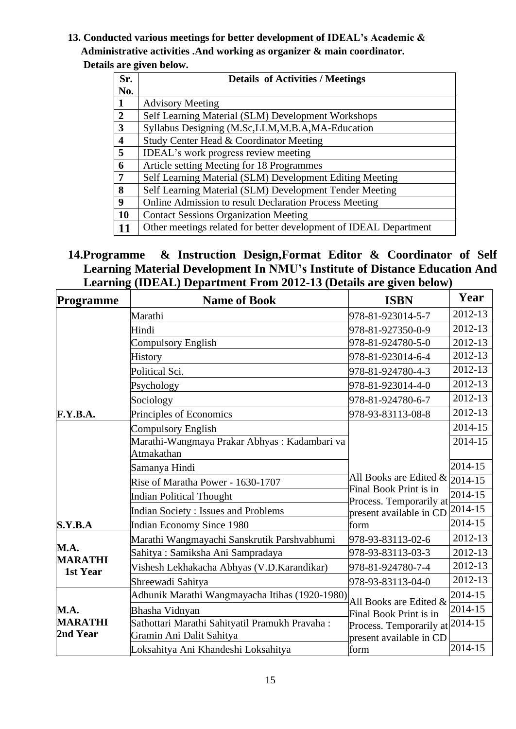**13. Conducted various meetings for better development of IDEAL's Academic & Administrative activities .And working as organizer & main coordinator. Details are given below.**

| Sr.                     | <b>Details of Activities / Meetings</b>                           |
|-------------------------|-------------------------------------------------------------------|
| No.                     |                                                                   |
| $\mathbf{1}$            | <b>Advisory Meeting</b>                                           |
| $\overline{2}$          | Self Learning Material (SLM) Development Workshops                |
| $\overline{3}$          | Syllabus Designing (M.Sc,LLM,M.B.A,MA-Education                   |
| $\overline{\mathbf{4}}$ | Study Center Head & Coordinator Meeting                           |
| $\overline{5}$          | IDEAL's work progress review meeting                              |
| 6                       | Article setting Meeting for 18 Programmes                         |
| $\overline{7}$          | Self Learning Material (SLM) Development Editing Meeting          |
| 8                       | Self Learning Material (SLM) Development Tender Meeting           |
| 9                       | Online Admission to result Declaration Process Meeting            |
| 10                      | <b>Contact Sessions Organization Meeting</b>                      |
| 11                      | Other meetings related for better development of IDEAL Department |

### **14.Programme & Instruction Design,Format Editor & Coordinator of Self Learning Material Development In NMU's Institute of Distance Education And Learning (IDEAL) Department From 2012-13 (Details are given below)**

| Programme                  | <b>Name of Book</b>                                                        | <b>ISBN</b>                                                | Year    |
|----------------------------|----------------------------------------------------------------------------|------------------------------------------------------------|---------|
|                            | Marathi                                                                    | 978-81-923014-5-7                                          | 2012-13 |
|                            | Hindi                                                                      | 978-81-927350-0-9                                          | 2012-13 |
|                            | <b>Compulsory English</b>                                                  | 978-81-924780-5-0                                          | 2012-13 |
|                            | <b>History</b>                                                             | 978-81-923014-6-4                                          | 2012-13 |
|                            | Political Sci.                                                             | 978-81-924780-4-3                                          | 2012-13 |
|                            | Psychology                                                                 | 978-81-923014-4-0                                          | 2012-13 |
|                            | Sociology                                                                  | 978-81-924780-6-7                                          | 2012-13 |
| F.Y.B.A.                   | Principles of Economics                                                    | 978-93-83113-08-8                                          | 2012-13 |
|                            | <b>Compulsory English</b>                                                  |                                                            | 2014-15 |
|                            | Marathi-Wangmaya Prakar Abhyas: Kadambari va<br>Atmakathan                 |                                                            | 2014-15 |
|                            | Samanya Hindi                                                              |                                                            | 2014-15 |
|                            | Rise of Maratha Power - 1630-1707                                          | All Books are Edited &                                     | 2014-15 |
|                            | <b>Indian Political Thought</b>                                            | Final Book Print is in<br>Process. Temporarily at          | 2014-15 |
|                            | <b>Indian Society: Issues and Problems</b>                                 | present available in CD                                    | 2014-15 |
| S.Y.B.A                    | Indian Economy Since 1980                                                  | form                                                       | 2014-15 |
|                            | Marathi Wangmayachi Sanskrutik Parshvabhumi                                | 978-93-83113-02-6                                          | 2012-13 |
| M.A.                       | Sahitya: Samiksha Ani Sampradaya                                           | 978-93-83113-03-3                                          | 2012-13 |
| <b>MARATHI</b><br>1st Year | Vishesh Lekhakacha Abhyas (V.D.Karandikar)                                 | 978-81-924780-7-4                                          | 2012-13 |
|                            | Shreewadi Sahitya                                                          | 978-93-83113-04-0                                          | 2012-13 |
|                            | Adhunik Marathi Wangmayacha Itihas (1920-1980)                             | All Books are Edited &                                     | 2014-15 |
| <b>M.A.</b>                | Bhasha Vidnyan                                                             | Final Book Print is in                                     | 2014-15 |
| <b>MARATHI</b><br>2nd Year | Sathottari Marathi Sahityatil Pramukh Pravaha:<br>Gramin Ani Dalit Sahitya | Process. Temporarily at 2014-15<br>present available in CD |         |
|                            | Loksahitya Ani Khandeshi Loksahitya                                        | form                                                       | 2014-15 |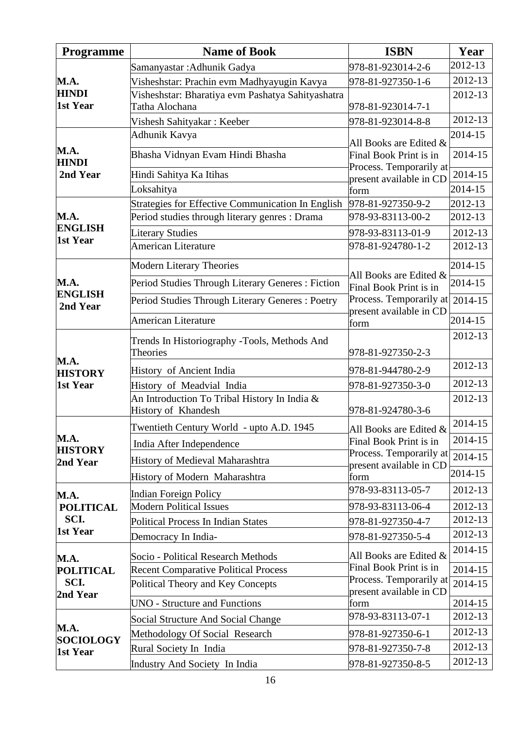| <b>Programme</b>             | <b>Name of Book</b>                                             | <b>ISBN</b>                                                | Year    |
|------------------------------|-----------------------------------------------------------------|------------------------------------------------------------|---------|
|                              | Samanyastar : Adhunik Gadya                                     | 978-81-923014-2-6                                          | 2012-13 |
| <b>M.A.</b>                  | Visheshstar: Prachin evm Madhyayugin Kavya                      | 978-81-927350-1-6                                          | 2012-13 |
| <b>HINDI</b>                 | Visheshstar: Bharatiya evm Pashatya Sahityashatra               |                                                            | 2012-13 |
| 1st Year                     | Tatha Alochana                                                  | 978-81-923014-7-1                                          |         |
|                              | Vishesh Sahityakar: Keeber                                      | 978-81-923014-8-8                                          | 2012-13 |
|                              | Adhunik Kavya                                                   | All Books are Edited &                                     | 2014-15 |
| M.A.<br><b>HINDI</b>         | Bhasha Vidnyan Evam Hindi Bhasha                                | Final Book Print is in                                     | 2014-15 |
| 2nd Year                     | Hindi Sahitya Ka Itihas                                         | Process. Temporarily at<br>present available in CD         | 2014-15 |
|                              | Loksahitya                                                      | form                                                       | 2014-15 |
|                              | Strategies for Effective Communication In English               | 978-81-927350-9-2                                          | 2012-13 |
| <b>M.A.</b>                  | Period studies through literary genres : Drama                  | 978-93-83113-00-2                                          | 2012-13 |
| <b>ENGLISH</b>               | <b>Literary Studies</b>                                         | 978-93-83113-01-9                                          | 2012-13 |
| 1st Year                     | <b>American Literature</b>                                      | 978-81-924780-1-2                                          | 2012-13 |
|                              | <b>Modern Literary Theories</b>                                 |                                                            | 2014-15 |
| M.A.                         | Period Studies Through Literary Generes: Fiction                | All Books are Edited &<br>Final Book Print is in           | 2014-15 |
| <b>ENGLISH</b><br>2nd Year   | Period Studies Through Literary Generes: Poetry                 | Process. Temporarily at 2014-15<br>present available in CD |         |
|                              | <b>American Literature</b>                                      | form                                                       | 2014-15 |
|                              | Trends In Historiography -Tools, Methods And<br><b>Theories</b> | 978-81-927350-2-3                                          | 2012-13 |
| M.A.<br><b>HISTORY</b>       | History of Ancient India                                        | 978-81-944780-2-9                                          | 2012-13 |
| 1st Year                     | History of Meadvial India                                       | 978-81-927350-3-0                                          | 2012-13 |
|                              | An Introduction To Tribal History In India &                    |                                                            | 2012-13 |
|                              | History of Khandesh                                             | 978-81-924780-3-6                                          |         |
|                              | Twentieth Century World - upto A.D. 1945                        | All Books are Edited &                                     | 2014-15 |
| M.A.                         | India After Independence                                        | Final Book Print is in                                     | 2014-15 |
| <b>HISTORY</b><br>2nd Year   | History of Medieval Maharashtra                                 | Process. Temporarily at                                    | 2014-15 |
|                              | History of Modern Maharashtra                                   | present available in CD<br>form                            | 2014-15 |
|                              |                                                                 | 978-93-83113-05-7                                          | 2012-13 |
| M.A.<br><b>POLITICAL</b>     | Indian Foreign Policy<br><b>Modern Political Issues</b>         | 978-93-83113-06-4                                          | 2012-13 |
| SCI.                         | Political Process In Indian States                              | 978-81-927350-4-7                                          | 2012-13 |
| 1st Year                     |                                                                 | 978-81-927350-5-4                                          | 2012-13 |
|                              | Democracy In India-                                             |                                                            | 2014-15 |
| M.A.                         | Socio - Political Research Methods                              | All Books are Edited &                                     |         |
| <b>POLITICAL</b>             | <b>Recent Comparative Political Process</b>                     | Final Book Print is in<br>Process. Temporarily at          | 2014-15 |
| SCI.<br>2nd Year             | Political Theory and Key Concepts                               | present available in CD                                    | 2014-15 |
|                              | <b>UNO - Structure and Functions</b>                            | form                                                       | 2014-15 |
|                              | Social Structure And Social Change                              | 978-93-83113-07-1                                          | 2012-13 |
| <b>M.A.</b>                  | Methodology Of Social Research                                  | 978-81-927350-6-1                                          | 2012-13 |
| <b>SOCIOLOGY</b><br>1st Year | Rural Society In India                                          | 978-81-927350-7-8                                          | 2012-13 |
|                              | <b>Industry And Society In India</b>                            | 978-81-927350-8-5                                          | 2012-13 |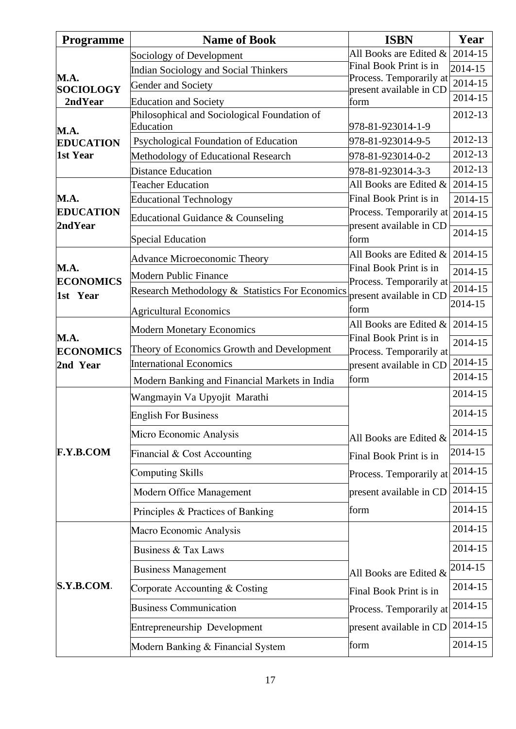| <b>Programme</b>                | <b>Name of Book</b>                             | <b>ISBN</b>                                        | Year    |
|---------------------------------|-------------------------------------------------|----------------------------------------------------|---------|
|                                 | Sociology of Development                        | All Books are Edited &                             | 2014-15 |
|                                 | <b>Indian Sociology and Social Thinkers</b>     | Final Book Print is in                             | 2014-15 |
| <b>M.A.</b><br><b>SOCIOLOGY</b> | Gender and Society                              | Process. Temporarily at<br>present available in CD | 2014-15 |
| 2nd Year                        | <b>Education and Society</b>                    | form                                               | 2014-15 |
|                                 | Philosophical and Sociological Foundation of    |                                                    | 2012-13 |
| M.A.                            | Education                                       | 978-81-923014-1-9                                  |         |
| <b>EDUCATION</b>                | Psychological Foundation of Education           | 978-81-923014-9-5                                  | 2012-13 |
| 1st Year                        | Methodology of Educational Research             | 978-81-923014-0-2                                  | 2012-13 |
|                                 | <b>Distance Education</b>                       | 978-81-923014-3-3                                  | 2012-13 |
| M.A.                            | <b>Teacher Education</b>                        | All Books are Edited &<br>Final Book Print is in   | 2014-15 |
| <b>EDUCATION</b>                | <b>Educational Technology</b>                   | Process. Temporarily at                            | 2014-15 |
| 2ndYear                         | Educational Guidance & Counseling               | present available in CD                            | 2014-15 |
|                                 | <b>Special Education</b>                        | form                                               | 2014-15 |
|                                 | <b>Advance Microeconomic Theory</b>             | All Books are Edited &                             | 2014-15 |
| <b>M.A.</b><br><b>ECONOMICS</b> | <b>Modern Public Finance</b>                    | Final Book Print is in                             | 2014-15 |
| 1st Year                        | Research Methodology & Statistics For Economics | Process. Temporarily at<br>present available in CD | 2014-15 |
|                                 | <b>Agricultural Economics</b>                   | form                                               | 2014-15 |
|                                 | <b>Modern Monetary Economics</b>                | All Books are Edited &                             | 2014-15 |
| <b>M.A.</b>                     | Theory of Economics Growth and Development      | Final Book Print is in                             | 2014-15 |
| <b>ECONOMICS</b><br>2nd Year    | <b>International Economics</b>                  | Process. Temporarily at<br>present available in CD | 2014-15 |
|                                 | Modern Banking and Financial Markets in India   | form                                               | 2014-15 |
|                                 | Wangmayin Va Upyojit Marathi                    |                                                    | 2014-15 |
|                                 | <b>English For Business</b>                     |                                                    | 2014-15 |
|                                 | Micro Economic Analysis                         | All Books are Edited &                             | 2014-15 |
| <b>F.Y.B.COM</b>                | Financial & Cost Accounting                     | Final Book Print is in                             | 2014-15 |
|                                 | <b>Computing Skills</b>                         | Process. Temporarily at                            | 2014-15 |
|                                 | <b>Modern Office Management</b>                 | present available in CD                            | 2014-15 |
|                                 | Principles & Practices of Banking               | form                                               | 2014-15 |
|                                 | Macro Economic Analysis                         |                                                    | 2014-15 |
|                                 | <b>Business &amp; Tax Laws</b>                  |                                                    | 2014-15 |
|                                 | <b>Business Management</b>                      | All Books are Edited &                             | 2014-15 |
| S.Y.B.COM.                      | Corporate Accounting & Costing                  | Final Book Print is in                             | 2014-15 |
|                                 | <b>Business Communication</b>                   | Process. Temporarily at                            | 2014-15 |
|                                 | Entrepreneurship Development                    | present available in CD                            | 2014-15 |
|                                 | Modern Banking & Financial System               | form                                               | 2014-15 |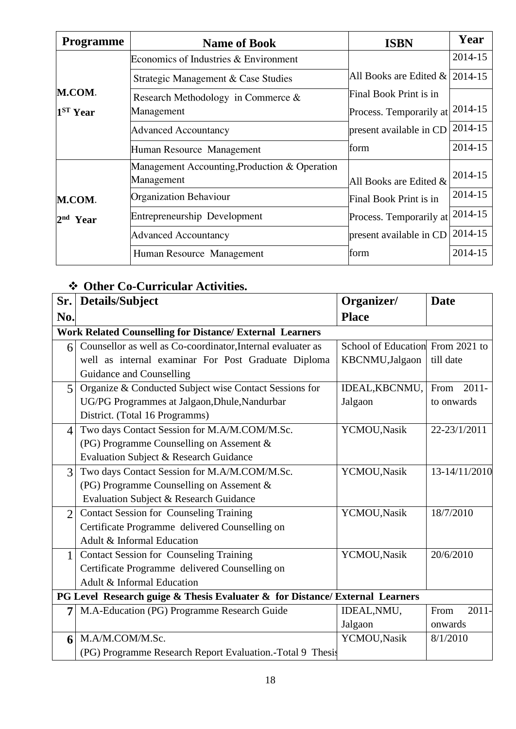| <b>Programme</b> | <b>Name of Book</b>                           | <b>ISBN</b>                      | Year    |
|------------------|-----------------------------------------------|----------------------------------|---------|
|                  | Economics of Industries & Environment         |                                  | 2014-15 |
|                  | Strategic Management & Case Studies           | All Books are Edited $& 2014-15$ |         |
| M.COM.           | Research Methodology in Commerce $\&$         | Final Book Print is in           |         |
| $1ST$ Year       | Management                                    | Process. Temporarily at          | 2014-15 |
|                  | <b>Advanced Accountancy</b>                   | present available in CD          | 2014-15 |
|                  | Human Resource Management                     | form                             | 2014-15 |
|                  | Management Accounting, Production & Operation |                                  |         |
|                  | Management                                    | All Books are Edited $\&$        | 2014-15 |
| M.COM.           | <b>Organization Behaviour</b>                 | Final Book Print is in           | 2014-15 |
| $2nd$ Year       | Entrepreneurship Development                  | Process. Temporarily at          | 2014-15 |
|                  | <b>Advanced Accountancy</b>                   | present available in CD          | 2014-15 |
|                  | Human Resource Management                     | form                             | 2014-15 |

# ❖ **Other Co-Curricular Activities.**

| Sr.                      | Details/Subject                                                              | Organizer/                       | <b>Date</b>      |
|--------------------------|------------------------------------------------------------------------------|----------------------------------|------------------|
| No.                      |                                                                              | <b>Place</b>                     |                  |
|                          | <b>Work Related Counselling for Distance/ External Learners</b>              |                                  |                  |
| 6                        | Counsellor as well as Co-coordinator, Internal evaluater as                  | School of Education From 2021 to |                  |
|                          | well as internal examinar For Post Graduate Diploma                          | KBCNMU, Jalgaon                  | till date        |
|                          | Guidance and Counselling                                                     |                                  |                  |
| $\overline{5}$           | Organize & Conducted Subject wise Contact Sessions for                       | IDEAL, KBCNMU,                   | $2011 -$<br>From |
|                          | UG/PG Programmes at Jalgaon, Dhule, Nandurbar                                | Jalgaon                          | to onwards       |
|                          | District. (Total 16 Programms)                                               |                                  |                  |
| $\overline{\mathcal{A}}$ | Two days Contact Session for M.A/M.COM/M.Sc.                                 | YCMOU, Nasik                     | 22-23/1/2011     |
|                          | (PG) Programme Counselling on Assement &                                     |                                  |                  |
|                          | Evaluation Subject & Research Guidance                                       |                                  |                  |
| 3                        | Two days Contact Session for M.A/M.COM/M.Sc.                                 | YCMOU, Nasik                     | 13-14/11/2010    |
|                          | (PG) Programme Counselling on Assement &                                     |                                  |                  |
|                          | Evaluation Subject & Research Guidance                                       |                                  |                  |
| $\overline{2}$           | <b>Contact Session for Counseling Training</b>                               | YCMOU, Nasik                     | 18/7/2010        |
|                          | Certificate Programme delivered Counselling on                               |                                  |                  |
|                          | Adult & Informal Education                                                   |                                  |                  |
| 1                        | <b>Contact Session for Counseling Training</b>                               | YCMOU, Nasik                     | 20/6/2010        |
|                          | Certificate Programme delivered Counselling on                               |                                  |                  |
|                          | Adult & Informal Education                                                   |                                  |                  |
|                          | PG Level Research guige & Thesis Evaluater & for Distance/ External Learners |                                  |                  |
| 7                        | M.A-Education (PG) Programme Research Guide                                  | IDEAL, NMU,                      | $2011 -$<br>From |
|                          |                                                                              | Jalgaon                          | onwards          |
| 6                        | M.A/M.COM/M.Sc.                                                              | YCMOU, Nasik                     | 8/1/2010         |
|                          | (PG) Programme Research Report Evaluation.-Total 9 Thesis                    |                                  |                  |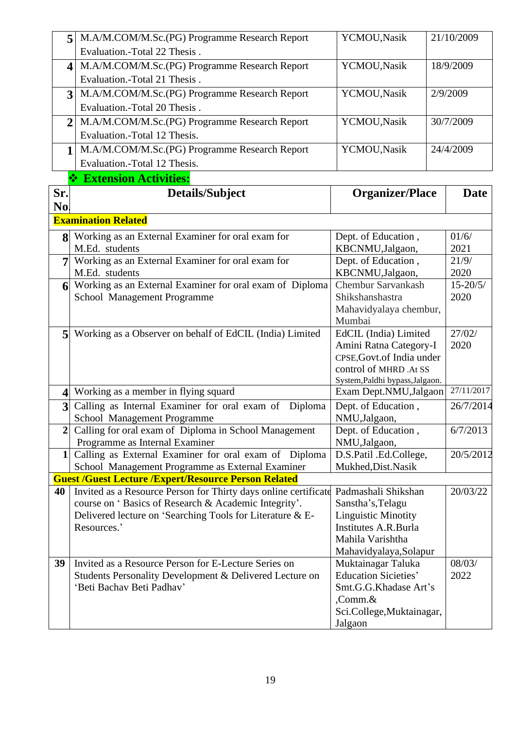| 5                       | M.A/M.COM/M.Sc.(PG) Programme Research Report                                                                                               | YCMOU, Nasik                                        | 21/10/2009   |
|-------------------------|---------------------------------------------------------------------------------------------------------------------------------------------|-----------------------------------------------------|--------------|
|                         | Evaluation.-Total 22 Thesis.                                                                                                                |                                                     |              |
| $\overline{\mathbf{4}}$ | M.A/M.COM/M.Sc.(PG) Programme Research Report                                                                                               | YCMOU, Nasik                                        | 18/9/2009    |
|                         | Evaluation.-Total 21 Thesis.                                                                                                                |                                                     |              |
| 3                       | M.A/M.COM/M.Sc.(PG) Programme Research Report                                                                                               | YCMOU, Nasik                                        | 2/9/2009     |
|                         | Evaluation.-Total 20 Thesis.                                                                                                                |                                                     |              |
| $\mathbf{2}$            | M.A/M.COM/M.Sc.(PG) Programme Research Report                                                                                               | YCMOU, Nasik                                        | 30/7/2009    |
|                         | Evaluation.-Total 12 Thesis.                                                                                                                |                                                     |              |
| 1                       | M.A/M.COM/M.Sc.(PG) Programme Research Report                                                                                               | YCMOU, Nasik                                        | 24/4/2009    |
|                         | Evaluation.-Total 12 Thesis.                                                                                                                |                                                     |              |
|                         | <b>Extension Activities:</b>                                                                                                                |                                                     |              |
| Sr.                     | Details/Subject                                                                                                                             | <b>Organizer/Place</b>                              | <b>Date</b>  |
| No.                     |                                                                                                                                             |                                                     |              |
|                         | <b>Examination Related</b>                                                                                                                  |                                                     |              |
|                         | 8 Working as an External Examiner for oral exam for                                                                                         | Dept. of Education,                                 | 01/6/        |
|                         | M.Ed. students                                                                                                                              | KBCNMU,Jalgaon,                                     | 2021         |
| 7                       | Working as an External Examiner for oral exam for                                                                                           | Dept. of Education,                                 | 21/9/        |
|                         | M.Ed. students                                                                                                                              | KBCNMU,Jalgaon,                                     | 2020         |
| 6                       | Working as an External Examiner for oral exam of Diploma                                                                                    | <b>Chembur Sarvankash</b>                           | $15 - 20/5/$ |
|                         | School Management Programme                                                                                                                 | Shikshanshastra                                     | 2020         |
|                         |                                                                                                                                             | Mahavidyalaya chembur,                              |              |
|                         |                                                                                                                                             | Mumbai                                              |              |
| 5                       | Working as a Observer on behalf of EdCIL (India) Limited                                                                                    | EdCIL (India) Limited                               | 27/02/       |
|                         |                                                                                                                                             | Amini Ratna Category-I                              | 2020         |
|                         |                                                                                                                                             | CPSE, Govt.of India under<br>control of MHRD .At SS |              |
|                         |                                                                                                                                             | System, Paldhi bypass, Jalgaon.                     |              |
| $\overline{\mathbf{4}}$ | Working as a member in flying squard                                                                                                        | Exam Dept.NMU, Jalgaon                              | 27/11/2017   |
| $\overline{\mathbf{3}}$ | Calling as Internal Examiner for oral exam of Diploma                                                                                       | Dept. of Education,                                 | 26/7/2014    |
|                         | School Management Programme                                                                                                                 | NMU,Jalgaon,                                        |              |
| $\overline{2}$          | Calling for oral exam of Diploma in School Management                                                                                       | Dept. of Education,                                 | 6/7/2013     |
|                         | Programme as Internal Examiner                                                                                                              | NMU, Jalgaon,                                       |              |
| $1\vert$                | Calling as External Examiner for oral exam of Diploma                                                                                       | D.S.Patil .Ed.College,                              | 20/5/2012    |
|                         | School Management Programme as External Examiner                                                                                            | Mukhed, Dist. Nasik                                 |              |
| 40                      | <b>Guest /Guest Lecture /Expert/Resource Person Related</b>                                                                                 |                                                     | 20/03/22     |
|                         | Invited as a Resource Person for Thirty days online certificate Padmashali Shikshan<br>course on 'Basics of Research & Academic Integrity'. | Sanstha's, Telagu                                   |              |
|                         | Delivered lecture on 'Searching Tools for Literature & E-                                                                                   | <b>Linguistic Minotity</b>                          |              |
|                         | Resources.'                                                                                                                                 | Institutes A.R.Burla                                |              |
|                         |                                                                                                                                             | Mahila Varishtha                                    |              |
|                         |                                                                                                                                             | Mahavidyalaya, Solapur                              |              |
| 39                      | Invited as a Resource Person for E-Lecture Series on                                                                                        | Muktainagar Taluka                                  | 08/03/       |
|                         | Students Personality Development & Delivered Lecture on                                                                                     | <b>Education Sicieties'</b>                         | 2022         |
|                         | 'Beti Bachav Beti Padhav'                                                                                                                   | Smt.G.G.Khadase Art's                               |              |
|                         |                                                                                                                                             | $,$ Comm. $\&$                                      |              |
|                         |                                                                                                                                             | Sci.College, Muktainagar,                           |              |
|                         |                                                                                                                                             | Jalgaon                                             |              |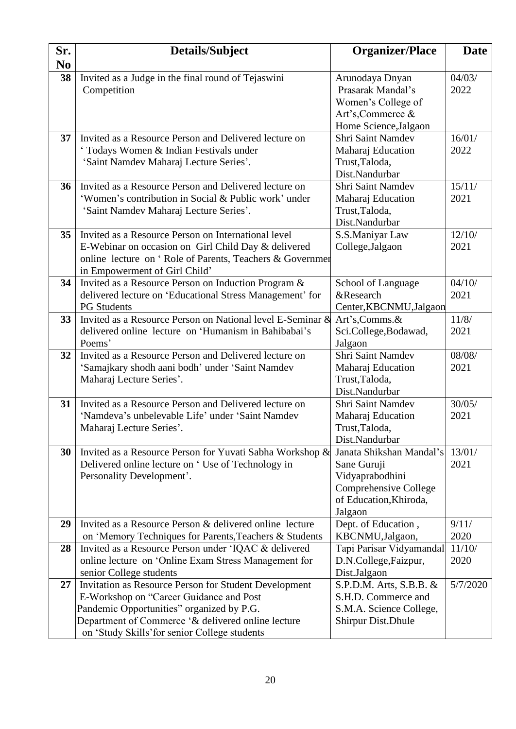| Sr.                  | Details/Subject                                                   | <b>Organizer/Place</b>                   | <b>Date</b> |
|----------------------|-------------------------------------------------------------------|------------------------------------------|-------------|
| N <sub>0</sub><br>38 |                                                                   |                                          | 04/03/      |
|                      | Invited as a Judge in the final round of Tejaswini<br>Competition | Arunodaya Dnyan<br>Prasarak Mandal's     | 2022        |
|                      |                                                                   | Women's College of                       |             |
|                      |                                                                   | Art's, Commerce &                        |             |
|                      |                                                                   | Home Science, Jalgaon                    |             |
| 37                   | Invited as a Resource Person and Delivered lecture on             | Shri Saint Namdev                        | 16/01/      |
|                      | 'Todays Women & Indian Festivals under                            | Maharaj Education                        | 2022        |
|                      | 'Saint Namdev Maharaj Lecture Series'.                            | Trust, Taloda,                           |             |
|                      |                                                                   | Dist.Nandurbar                           |             |
| 36                   | Invited as a Resource Person and Delivered lecture on             | Shri Saint Namdev                        | 15/11/      |
|                      | 'Women's contribution in Social & Public work' under              | Maharaj Education                        | 2021        |
|                      | 'Saint Namdev Maharaj Lecture Series'.                            | Trust, Taloda,                           |             |
|                      |                                                                   | Dist.Nandurbar                           |             |
| 35                   | Invited as a Resource Person on International level               | S.S.Maniyar Law                          | 12/10/      |
|                      | E-Webinar on occasion on Girl Child Day & delivered               | College, Jalgaon                         | 2021        |
|                      | online lecture on 'Role of Parents, Teachers & Governmer          |                                          |             |
|                      | in Empowerment of Girl Child'                                     |                                          |             |
| 34                   | Invited as a Resource Person on Induction Program &               | School of Language                       | 04/10/      |
|                      | delivered lecture on 'Educational Stress Management' for          | &Research                                | 2021        |
|                      | <b>PG</b> Students                                                | Center, KBCNMU, Jalgaon                  |             |
| 33                   | Invited as a Resource Person on National level E-Seminar &        | Art's,Comms.&                            | 11/8/       |
|                      | delivered online lecture on 'Humanism in Bahibabai's              | Sci.College, Bodawad,                    | 2021        |
|                      | Poems'                                                            | Jalgaon                                  |             |
| 32                   | Invited as a Resource Person and Delivered lecture on             | Shri Saint Namdev                        | 08/08/      |
|                      | 'Samajkary shodh aani bodh' under 'Saint Namdev                   | Maharaj Education                        | 2021        |
|                      | Maharaj Lecture Series'.                                          | Trust, Taloda,                           |             |
|                      |                                                                   | Dist.Nandurbar                           |             |
| 31                   | Invited as a Resource Person and Delivered lecture on             | Shri Saint Namdev                        | 30/05/      |
|                      | 'Namdeva's unbelevable Life' under 'Saint Namdev                  | Maharaj Education                        | 2021        |
|                      | Maharaj Lecture Series'                                           | Trust, Taloda,                           |             |
|                      |                                                                   | Dist.Nandurbar                           |             |
| 30                   | Invited as a Resource Person for Yuvati Sabha Workshop &          | Janata Shikshan Mandal's                 | 13/01/      |
|                      | Delivered online lecture on 'Use of Technology in                 | Sane Guruji                              | 2021        |
|                      | Personality Development'.                                         | Vidyaprabodhini<br>Comprehensive College |             |
|                      |                                                                   | of Education, Khiroda,                   |             |
|                      |                                                                   | Jalgaon                                  |             |
| 29                   | Invited as a Resource Person & delivered online lecture           | Dept. of Education,                      | 9/11/       |
|                      | on 'Memory Techniques for Parents, Teachers & Students            | KBCNMU,Jalgaon,                          | 2020        |
| 28                   | Invited as a Resource Person under 'IQAC & delivered              | Tapi Parisar Vidyamandal                 | 11/10/      |
|                      | online lecture on 'Online Exam Stress Management for              | D.N.College, Faizpur,                    | 2020        |
|                      | senior College students                                           | Dist.Jalgaon                             |             |
| 27                   | Invitation as Resource Person for Student Development             | S.P.D.M. Arts, S.B.B. &                  | 5/7/2020    |
|                      | E-Workshop on "Career Guidance and Post                           | S.H.D. Commerce and                      |             |
|                      | Pandemic Opportunities" organized by P.G.                         | S.M.A. Science College,                  |             |
|                      | Department of Commerce '& delivered online lecture                | <b>Shirpur Dist. Dhule</b>               |             |
|                      | on 'Study Skills' for senior College students                     |                                          |             |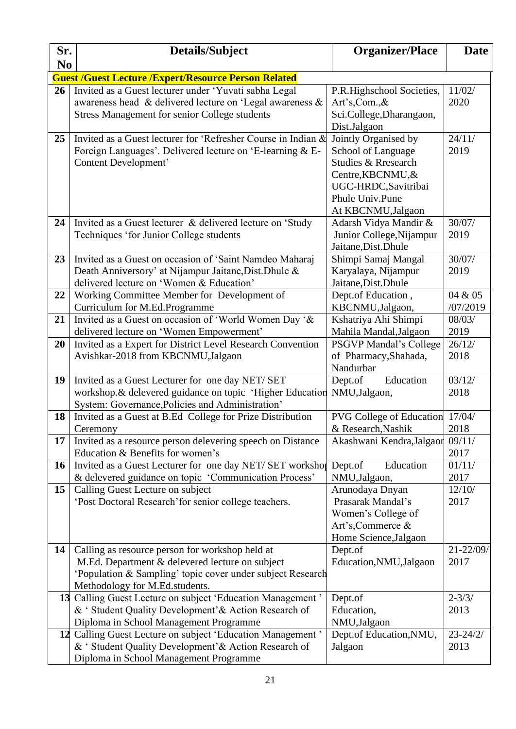| Sr.            | Details/Subject                                                                                                  | <b>Organizer/Place</b>                    | <b>Date</b>    |
|----------------|------------------------------------------------------------------------------------------------------------------|-------------------------------------------|----------------|
| N <sub>0</sub> |                                                                                                                  |                                           |                |
|                | <b>Guest /Guest Lecture /Expert/Resource Person Related</b>                                                      |                                           |                |
| 26             | Invited as a Guest lecturer under 'Yuvati sabha Legal                                                            | P.R.Highschool Societies,                 | 11/02/         |
|                | awareness head & delivered lecture on 'Legal awareness &                                                         | Art's,Com.,&                              | 2020           |
|                | <b>Stress Management for senior College students</b>                                                             | Sci.College, Dharangaon,                  |                |
|                |                                                                                                                  | Dist.Jalgaon                              |                |
| 25             | Invited as a Guest lecturer for 'Refresher Course in Indian &                                                    | Jointly Organised by                      | 24/11/<br>2019 |
|                | Foreign Languages'. Delivered lecture on 'E-learning & E-<br>Content Development'                                | School of Language<br>Studies & Rresearch |                |
|                |                                                                                                                  | Centre, KBCNMU, &                         |                |
|                |                                                                                                                  | UGC-HRDC, Savitribai                      |                |
|                |                                                                                                                  | Phule Univ.Pune                           |                |
|                |                                                                                                                  | At KBCNMU, Jalgaon                        |                |
| 24             | Invited as a Guest lecturer & delivered lecture on 'Study                                                        | Adarsh Vidya Mandir &                     | 30/07/         |
|                | Techniques 'for Junior College students                                                                          | Junior College, Nijampur                  | 2019           |
|                |                                                                                                                  | Jaitane, Dist. Dhule                      |                |
| 23             | Invited as a Guest on occasion of 'Saint Namdeo Maharaj                                                          | Shimpi Samaj Mangal                       | 30/07/         |
|                | Death Anniversory' at Nijampur Jaitane, Dist. Dhule &                                                            | Karyalaya, Nijampur                       | 2019           |
|                | delivered lecture on 'Women & Education'                                                                         | Jaitane, Dist. Dhule                      |                |
| 22             | Working Committee Member for Development of                                                                      | Dept.of Education,                        | 04 & 05        |
|                | Curriculum for M.Ed.Programme                                                                                    | KBCNMU,Jalgaon,                           | /07/2019       |
| 21             | Invited as a Guest on occasion of 'World Women Day '&                                                            | Kshatriya Ahi Shimpi                      | 08/03/         |
|                | delivered lecture on 'Women Empowerment'                                                                         | Mahila Mandal, Jalgaon                    | 2019           |
| 20             | Invited as a Expert for District Level Research Convention                                                       | <b>PSGVP Mandal's College</b>             | 26/12/         |
|                | Avishkar-2018 from KBCNMU, Jalgaon                                                                               | of Pharmacy, Shahada,                     | 2018           |
|                |                                                                                                                  | Nandurbar                                 |                |
| 19             | Invited as a Guest Lecturer for one day NET/ SET                                                                 | Dept.of<br>Education                      | 03/12/         |
|                | workshop.& delevered guidance on topic 'Higher Education                                                         | NMU,Jalgaon,                              | 2018           |
| 18             | System: Governance, Policies and Administration'<br>Invited as a Guest at B.Ed College for Prize Distribution    | <b>PVG College of Education</b>           | 17/04/         |
|                | Ceremony                                                                                                         | & Research, Nashik                        | 2018           |
| 17             | Invited as a resource person delevering speech on Distance                                                       | Akashwani Kendra, Jalgaor                 | 09/11/         |
|                | Education & Benefits for women's                                                                                 |                                           | 2017           |
| <b>16</b>      | Invited as a Guest Lecturer for one day NET/ SET workshop                                                        | Dept.of<br>Education                      | 01/11/         |
|                | & delevered guidance on topic 'Communication Process'                                                            | NMU, Jalgaon,                             | 2017           |
| 15             | Calling Guest Lecture on subject                                                                                 | Arunodaya Dnyan                           | 12/10/         |
|                | 'Post Doctoral Research' for senior college teachers.                                                            | Prasarak Mandal's                         | 2017           |
|                |                                                                                                                  | Women's College of                        |                |
|                |                                                                                                                  | Art's, Commerce &                         |                |
|                |                                                                                                                  | Home Science, Jalgaon                     |                |
| 14             | Calling as resource person for workshop held at                                                                  | Dept.of                                   | 21-22/09/      |
|                | M.Ed. Department & delevered lecture on subject                                                                  | Education, NMU, Jalgaon                   | 2017           |
|                | 'Population & Sampling' topic cover under subject Research                                                       |                                           |                |
|                | Methodology for M.Ed.students.                                                                                   |                                           |                |
| 13             | Calling Guest Lecture on subject 'Education Management'                                                          | Dept.of                                   | $2 - 3/3/$     |
|                | & ' Student Quality Development' & Action Research of                                                            | Education,                                | 2013           |
|                | Diploma in School Management Programme                                                                           | NMU, Jalgaon                              | $23 - 24/2/$   |
| 12             | Calling Guest Lecture on subject 'Education Management'<br>& ' Student Quality Development' & Action Research of | Dept.of Education, NMU,<br>Jalgaon        | 2013           |
|                | Diploma in School Management Programme                                                                           |                                           |                |
|                |                                                                                                                  |                                           |                |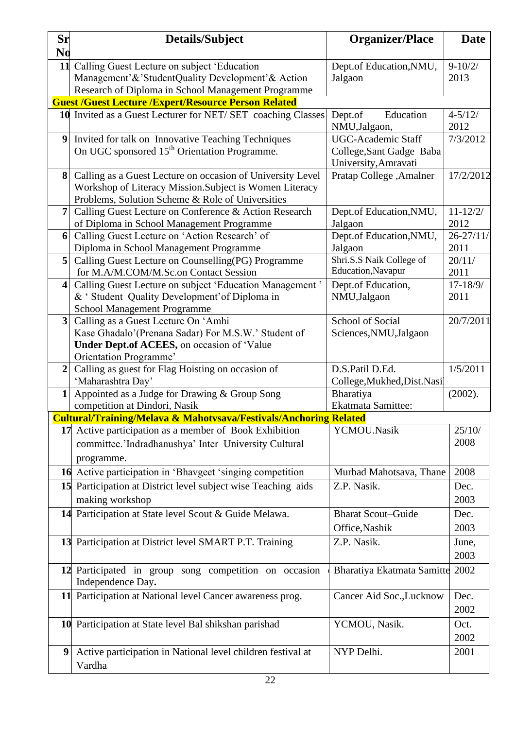| Sr                      | <b>Details/Subject</b>                                                                                                                                                    | <b>Organizer/Place</b>                                                 | <b>Date</b>           |
|-------------------------|---------------------------------------------------------------------------------------------------------------------------------------------------------------------------|------------------------------------------------------------------------|-----------------------|
| N <sub>0</sub>          |                                                                                                                                                                           |                                                                        |                       |
| 11                      | Calling Guest Lecture on subject 'Education                                                                                                                               | Dept.of Education, NMU,                                                | $9 - 10/2/$           |
|                         | Management'&'StudentQuality Development'& Action                                                                                                                          | Jalgaon                                                                | 2013                  |
|                         | Research of Diploma in School Management Programme                                                                                                                        |                                                                        |                       |
|                         | <b>Guest /Guest Lecture /Expert/Resource Person Related</b>                                                                                                               |                                                                        |                       |
|                         | 10 Invited as a Guest Lecturer for NET/ SET coaching Classes                                                                                                              | Education<br>Dept.of<br>NMU,Jalgaon,                                   | $4 - 5/12/$<br>2012   |
| 9                       | Invited for talk on Innovative Teaching Techniques<br>On UGC sponsored 15 <sup>th</sup> Orientation Programme.                                                            | UGC-Academic Staff<br>College, Sant Gadge Baba<br>University, Amravati | 7/3/2012              |
| 8                       | Calling as a Guest Lecture on occasion of University Level<br>Workshop of Literacy Mission. Subject is Women Literacy<br>Problems, Solution Scheme & Role of Universities | Pratap College, Amalner                                                | 17/2/2012             |
| 7                       | Calling Guest Lecture on Conference & Action Research<br>of Diploma in School Management Programme                                                                        | Dept.of Education, NMU,<br>Jalgaon                                     | $11 - 12/2/$<br>2012  |
| 6                       | Calling Guest Lecture on 'Action Research' of<br>Diploma in School Management Programme                                                                                   | Dept.of Education, NMU,<br>Jalgaon                                     | $26 - 27/11/$<br>2011 |
| 5 <sup>1</sup>          | Calling Guest Lecture on Counselling (PG) Programme<br>for M.A/M.COM/M.Sc.on Contact Session                                                                              | Shri.S.S Naik College of<br>Education, Navapur                         | 20/11/<br>2011        |
| 4                       | Calling Guest Lecture on subject 'Education Management'<br>& ' Student Quality Development' of Diploma in<br><b>School Management Programme</b>                           | Dept.of Education,<br>NMU,Jalgaon                                      | $17 - 18/9/$<br>2011  |
| $\overline{\mathbf{3}}$ | Calling as a Guest Lecture On 'Amhi<br>Kase Ghadalo'(Prenana Sadar) For M.S.W.' Student of<br>Under Dept.of ACEES, on occasion of 'Value<br>Orientation Programme'        | School of Social<br>Sciences, NMU, Jalgaon                             | 20/7/2011             |
| $\overline{2}$          | Calling as guest for Flag Hoisting on occasion of<br>'Maharashtra Day'                                                                                                    | D.S.Patil D.Ed.<br>College, Mukhed, Dist. Nasil                        | 1/5/2011              |
| $\mathbf{1}$            | Appointed as a Judge for Drawing & Group Song<br>competition at Dindori, Nasik                                                                                            | Bharatiya<br>Ekatmata Samittee:                                        | (2002).               |
|                         | <b>Cultural/Training/Melava &amp; Mahotysava/Festivals/Anchoring Related</b>                                                                                              |                                                                        |                       |
|                         | 17 Active participation as a member of Book Exhibition<br>committee.'Indradhanushya' Inter University Cultural<br>programme.                                              | YCMOU.Nasik                                                            | 25/10/<br>2008        |
|                         | 16 Active participation in 'Bhavgeet 'singing competition                                                                                                                 | Murbad Mahotsava, Thane                                                | 2008                  |
|                         | 15 Participation at District level subject wise Teaching aids<br>making workshop                                                                                          | Z.P. Nasik.                                                            | Dec.<br>2003          |
|                         | 14 Participation at State level Scout & Guide Melawa.                                                                                                                     | <b>Bharat Scout-Guide</b><br>Office, Nashik                            | Dec.<br>2003          |
|                         | 13 Participation at District level SMART P.T. Training                                                                                                                    | Z.P. Nasik.                                                            | June,<br>2003         |
|                         | 12 Participated in group song competition on occasion<br>Independence Day.                                                                                                | Bharatiya Ekatmata Samitte                                             | 2002                  |
|                         | 11 Participation at National level Cancer awareness prog.                                                                                                                 | Cancer Aid Soc., Lucknow                                               | Dec.<br>2002          |
|                         | 10 Participation at State level Bal shikshan parishad                                                                                                                     | YCMOU, Nasik.                                                          | Oct.<br>2002          |
| 9                       | Active participation in National level children festival at<br>Vardha                                                                                                     | NYP Delhi.                                                             | 2001                  |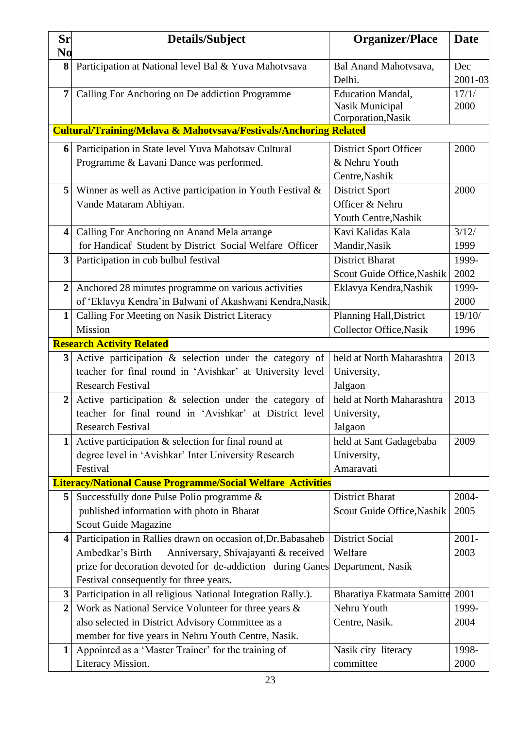| <b>Sr</b>               | Details/Subject                                                              | <b>Organizer/Place</b>                | <b>Date</b> |
|-------------------------|------------------------------------------------------------------------------|---------------------------------------|-------------|
| N <sub>0</sub>          |                                                                              |                                       |             |
| 8                       | Participation at National level Bal & Yuva Mahotvsava                        | Bal Anand Mahotvsava,                 | Dec         |
|                         |                                                                              | Delhi.                                | 2001-03     |
| 7                       | Calling For Anchoring on De addiction Programme                              | <b>Education Mandal,</b>              | 17/1/       |
|                         |                                                                              | Nasik Municipal<br>Corporation, Nasik | 2000        |
|                         | <b>Cultural/Training/Melava &amp; Mahotysava/Festivals/Anchoring Related</b> |                                       |             |
| 6                       | Participation in State level Yuva Mahotsav Cultural                          | <b>District Sport Officer</b>         | 2000        |
|                         | Programme & Lavani Dance was performed.                                      | & Nehru Youth                         |             |
|                         |                                                                              | Centre, Nashik                        |             |
| 5                       | Winner as well as Active participation in Youth Festival &                   | <b>District Sport</b>                 | 2000        |
|                         | Vande Mataram Abhiyan.                                                       | Officer & Nehru                       |             |
|                         |                                                                              | Youth Centre, Nashik                  |             |
| $\overline{\mathbf{4}}$ | Calling For Anchoring on Anand Mela arrange                                  | Kavi Kalidas Kala                     | 3/12/       |
|                         | for Handicaf Student by District Social Welfare Officer                      | Mandir, Nasik                         | 1999        |
| 3                       | Participation in cub bulbul festival                                         | <b>District Bharat</b>                | 1999-       |
|                         |                                                                              | Scout Guide Office, Nashik            | 2002        |
| $\overline{2}$          | Anchored 28 minutes programme on various activities                          | Eklavya Kendra, Nashik                | 1999-       |
|                         | of 'Eklavya Kendra'in Balwani of Akashwani Kendra, Nasik                     |                                       | 2000        |
| 1                       | Calling For Meeting on Nasik District Literacy                               | Planning Hall, District               | 19/10/      |
|                         | Mission                                                                      | <b>Collector Office, Nasik</b>        | 1996        |
|                         | <b>Research Activity Related</b>                                             |                                       |             |
| 3                       | Active participation & selection under the category of                       | held at North Maharashtra             | 2013        |
|                         | teacher for final round in 'Avishkar' at University level                    | University,                           |             |
|                         | <b>Research Festival</b>                                                     | Jalgaon                               |             |
| $\overline{2}$          | Active participation & selection under the category of                       | held at North Maharashtra             | 2013        |
|                         | teacher for final round in 'Avishkar' at District level                      | University,                           |             |
|                         | <b>Research Festival</b>                                                     | Jalgaon                               |             |
| 1                       | Active participation $\&$ selection for final round at                       | held at Sant Gadagebaba               | 2009        |
|                         | degree level in 'Avishkar' Inter University Research                         | University,                           |             |
|                         | Festival                                                                     | Amaravati                             |             |
|                         | <b>Literacy/National Cause Programme/Social Welfare Activities</b>           |                                       |             |
| 5                       | Successfully done Pulse Polio programme &                                    | <b>District Bharat</b>                | 2004-       |
|                         | published information with photo in Bharat                                   | Scout Guide Office, Nashik            | 2005        |
|                         | Scout Guide Magazine                                                         |                                       |             |
| $\overline{\mathbf{4}}$ | Participation in Rallies drawn on occasion of, Dr. Babasaheb                 | <b>District Social</b>                | $2001 -$    |
|                         | Anniversary, Shivajayanti & received<br>Ambedkar's Birth                     | Welfare                               | 2003        |
|                         | prize for decoration devoted for de-addiction during Ganes                   | Department, Nasik                     |             |
|                         | Festival consequently for three years.                                       |                                       |             |
| $\mathbf{3}$            | Participation in all religious National Integration Rally.).                 | Bharatiya Ekatmata Samitte 2001       |             |
| $\boldsymbol{2}$        | Work as National Service Volunteer for three years &                         | Nehru Youth                           | 1999-       |
|                         | also selected in District Advisory Committee as a                            | Centre, Nasik.                        | 2004        |
|                         | member for five years in Nehru Youth Centre, Nasik.                          |                                       |             |
| 1                       | Appointed as a 'Master Trainer' for the training of                          | Nasik city literacy                   | 1998-       |
|                         | Literacy Mission.                                                            | committee                             | 2000        |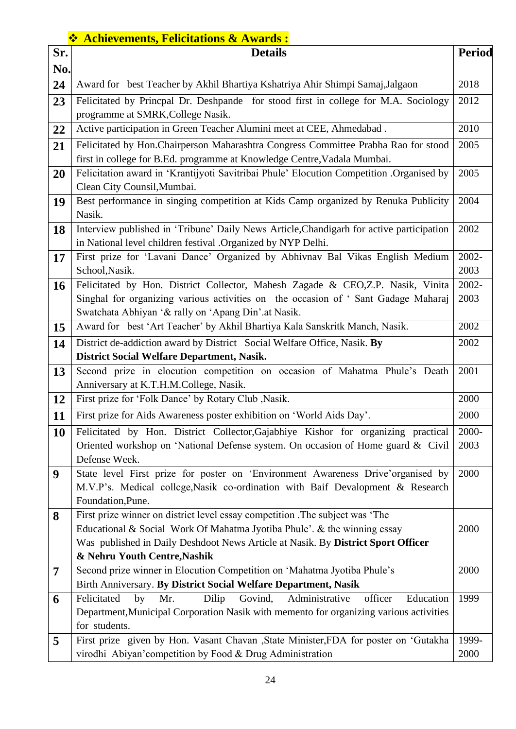## ❖ **Achievements, Felicitations & Awards :**

| Sr.            | $\bullet$ Achievements, Fenchations $\alpha$ Awards :<br><b>Details</b>                                                                  | <b>Period</b> |
|----------------|------------------------------------------------------------------------------------------------------------------------------------------|---------------|
| No.            |                                                                                                                                          |               |
| 24             | Award for best Teacher by Akhil Bhartiya Kshatriya Ahir Shimpi Samaj, Jalgaon                                                            | 2018          |
| 23             | Felicitated by Princpal Dr. Deshpande for stood first in college for M.A. Sociology                                                      | 2012          |
|                | programme at SMRK, College Nasik.                                                                                                        |               |
| 22             | Active participation in Green Teacher Alumini meet at CEE, Ahmedabad.                                                                    | 2010          |
| 21             | Felicitated by Hon. Chairperson Maharashtra Congress Committee Prabha Rao for stood                                                      | 2005          |
|                | first in college for B.Ed. programme at Knowledge Centre, Vadala Mumbai.                                                                 |               |
| 20             | Felicitation award in 'Krantijyoti Savitribai Phule' Elocution Competition .Organised by                                                 | 2005          |
|                | Clean City Counsil, Mumbai.                                                                                                              |               |
| 19             | Best performance in singing competition at Kids Camp organized by Renuka Publicity                                                       | 2004          |
|                | Nasik.                                                                                                                                   |               |
| 18             | Interview published in 'Tribune' Daily News Article, Chandigarh for active participation                                                 | 2002          |
|                | in National level children festival .Organized by NYP Delhi.                                                                             |               |
| 17             | First prize for 'Lavani Dance' Organized by Abhivnav Bal Vikas English Medium                                                            | 2002-         |
|                | School, Nasik.                                                                                                                           | 2003          |
| <b>16</b>      | Felicitated by Hon. District Collector, Mahesh Zagade & CEO,Z.P. Nasik, Vinita                                                           | 2002-         |
|                | Singhal for organizing various activities on the occasion of 'Sant Gadage Maharaj<br>Swatchata Abhiyan '& rally on 'Apang Din'.at Nasik. | 2003          |
| 15             | Award for best 'Art Teacher' by Akhil Bhartiya Kala Sanskritk Manch, Nasik.                                                              | 2002          |
|                | District de-addiction award by District Social Welfare Office, Nasik. By                                                                 | 2002          |
| 14             | <b>District Social Welfare Department, Nasik.</b>                                                                                        |               |
| 13             | Second prize in elocution competition on occasion of Mahatma Phule's Death                                                               | 2001          |
|                | Anniversary at K.T.H.M.College, Nasik.                                                                                                   |               |
| 12             | First prize for 'Folk Dance' by Rotary Club , Nasik.                                                                                     | 2000          |
| 11             | First prize for Aids Awareness poster exhibition on 'World Aids Day'.                                                                    | 2000          |
| 10             | Felicitated by Hon. District Collector, Gajabhiye Kishor for organizing practical                                                        | 2000-         |
|                | Oriented workshop on 'National Defense system. On occasion of Home guard & Civil<br>2003                                                 |               |
|                | Defense Week.                                                                                                                            |               |
| 9              | State level First prize for poster on 'Environment Awareness Drive'organised by                                                          | 2000          |
|                | M.V.P's. Medical college, Nasik co-ordination with Baif Devalopment & Research                                                           |               |
|                | Foundation, Pune.                                                                                                                        |               |
| 8              | First prize winner on district level essay competition .The subject was 'The                                                             |               |
|                | Educational & Social Work Of Mahatma Jyotiba Phule'. & the winning essay                                                                 | 2000          |
|                | Was published in Daily Deshdoot News Article at Nasik. By District Sport Officer                                                         |               |
|                | & Nehru Youth Centre, Nashik                                                                                                             |               |
| $\overline{7}$ | Second prize winner in Elocution Competition on 'Mahatma Jyotiba Phule's                                                                 | 2000          |
|                | Birth Anniversary. By District Social Welfare Department, Nasik                                                                          |               |
| 6              | Administrative<br>Felicitated<br>Mr.<br>Dilip<br>Govind,<br>officer<br>Education<br>by                                                   | 1999          |
|                | Department, Municipal Corporation Nasik with memento for organizing various activities                                                   |               |
|                | for students.                                                                                                                            |               |
| 5              | First prize given by Hon. Vasant Chavan , State Minister, FDA for poster on 'Gutakha                                                     | 1999-         |
|                | virodhi Abiyan' competition by Food & Drug Administration                                                                                | 2000          |